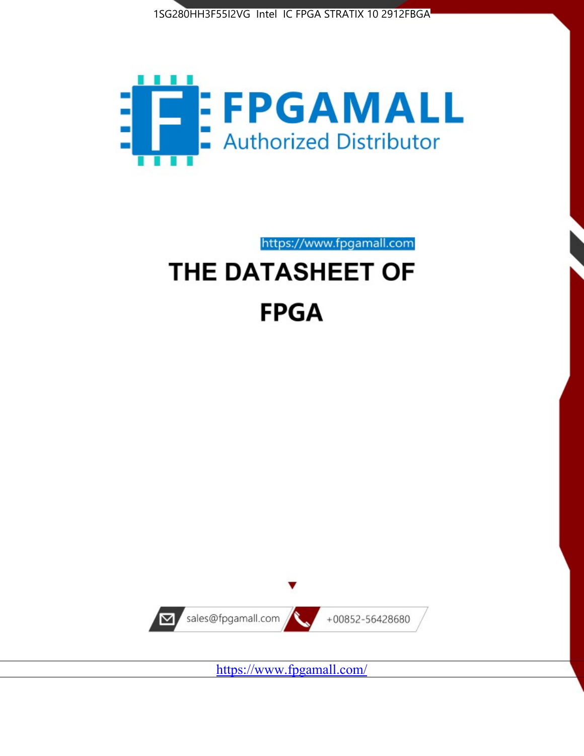



https://www.fpgamall.com

# THE DATASHEET OF **FPGA**



<https://www.fpgamall.com/>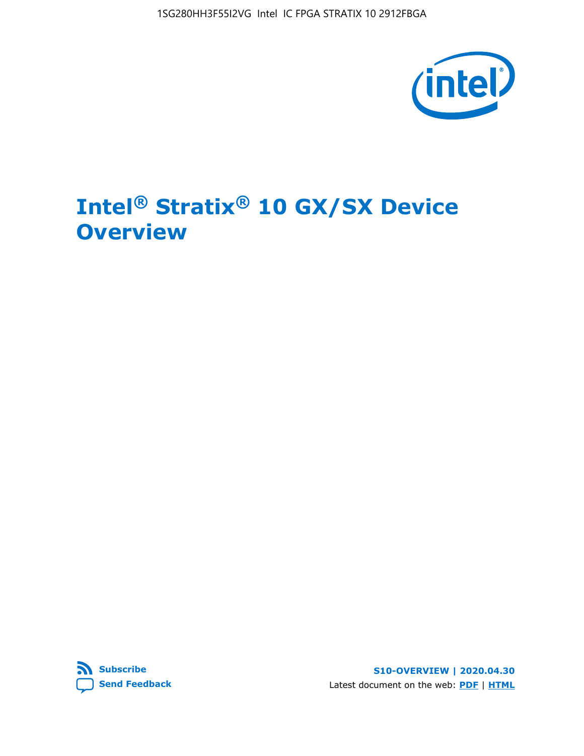1SG280HH3F55I2VG Intel IC FPGA STRATIX 10 2912FBGA



# **Intel® Stratix® 10 GX/SX Device Overview**



**S10-OVERVIEW | 2020.04.30** Latest document on the web: **[PDF](https://www.intel.com/content/dam/www/programmable/us/en/pdfs/literature/hb/stratix-10/s10-overview.pdf)** | **[HTML](https://www.intel.com/content/www/us/en/programmable/documentation/joc1442261161666.html)**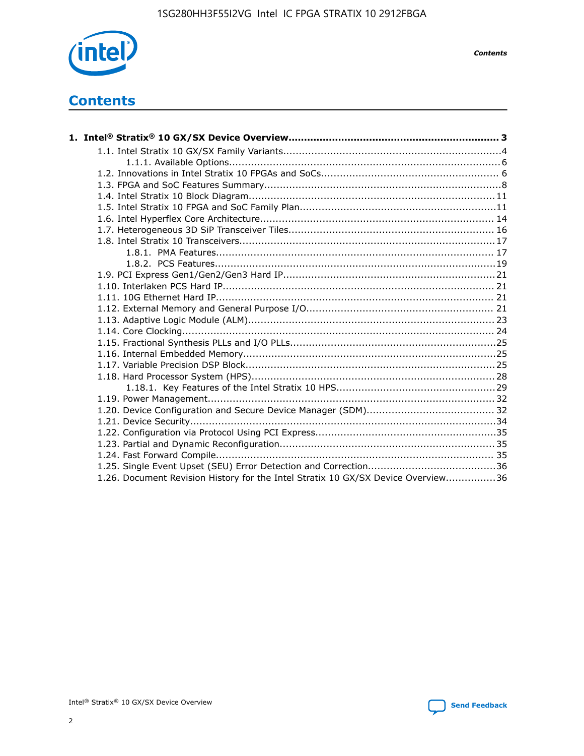

*Contents*

# **Contents**

| 1.26. Document Revision History for the Intel Stratix 10 GX/SX Device Overview36 |  |
|----------------------------------------------------------------------------------|--|

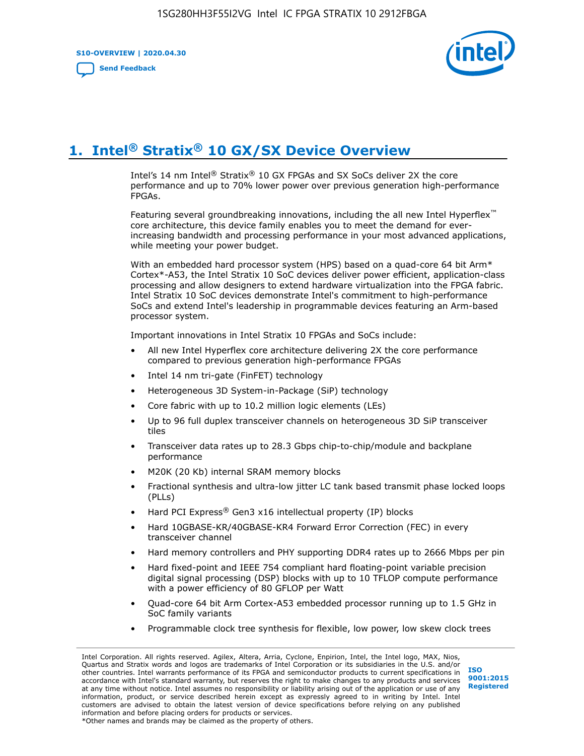**S10-OVERVIEW | 2020.04.30**

**[Send Feedback](mailto:FPGAtechdocfeedback@intel.com?subject=Feedback%20on%20Intel%20Stratix%2010%20GX/SX%20Device%20Overview%20(S10-OVERVIEW%202020.04.30)&body=We%20appreciate%20your%20feedback.%20In%20your%20comments,%20also%20specify%20the%20page%20number%20or%20paragraph.%20Thank%20you.)**



# **1. Intel® Stratix® 10 GX/SX Device Overview**

Intel's 14 nm Intel® Stratix® 10 GX FPGAs and SX SoCs deliver 2X the core performance and up to 70% lower power over previous generation high-performance FPGAs.

Featuring several groundbreaking innovations, including the all new Intel Hyperflex™ core architecture, this device family enables you to meet the demand for everincreasing bandwidth and processing performance in your most advanced applications, while meeting your power budget.

With an embedded hard processor system (HPS) based on a quad-core 64 bit Arm\* Cortex\*-A53, the Intel Stratix 10 SoC devices deliver power efficient, application-class processing and allow designers to extend hardware virtualization into the FPGA fabric. Intel Stratix 10 SoC devices demonstrate Intel's commitment to high-performance SoCs and extend Intel's leadership in programmable devices featuring an Arm-based processor system.

Important innovations in Intel Stratix 10 FPGAs and SoCs include:

- All new Intel Hyperflex core architecture delivering 2X the core performance compared to previous generation high-performance FPGAs
- Intel 14 nm tri-gate (FinFET) technology
- Heterogeneous 3D System-in-Package (SiP) technology
- Core fabric with up to 10.2 million logic elements (LEs)
- Up to 96 full duplex transceiver channels on heterogeneous 3D SiP transceiver tiles
- Transceiver data rates up to 28.3 Gbps chip-to-chip/module and backplane performance
- M20K (20 Kb) internal SRAM memory blocks
- Fractional synthesis and ultra-low jitter LC tank based transmit phase locked loops (PLLs)
- Hard PCI Express<sup>®</sup> Gen3 x16 intellectual property (IP) blocks
- Hard 10GBASE-KR/40GBASE-KR4 Forward Error Correction (FEC) in every transceiver channel
- Hard memory controllers and PHY supporting DDR4 rates up to 2666 Mbps per pin
- Hard fixed-point and IEEE 754 compliant hard floating-point variable precision digital signal processing (DSP) blocks with up to 10 TFLOP compute performance with a power efficiency of 80 GFLOP per Watt
- Quad-core 64 bit Arm Cortex-A53 embedded processor running up to 1.5 GHz in SoC family variants
- Programmable clock tree synthesis for flexible, low power, low skew clock trees

Intel Corporation. All rights reserved. Agilex, Altera, Arria, Cyclone, Enpirion, Intel, the Intel logo, MAX, Nios, Quartus and Stratix words and logos are trademarks of Intel Corporation or its subsidiaries in the U.S. and/or other countries. Intel warrants performance of its FPGA and semiconductor products to current specifications in accordance with Intel's standard warranty, but reserves the right to make changes to any products and services at any time without notice. Intel assumes no responsibility or liability arising out of the application or use of any information, product, or service described herein except as expressly agreed to in writing by Intel. Intel customers are advised to obtain the latest version of device specifications before relying on any published information and before placing orders for products or services. \*Other names and brands may be claimed as the property of others.

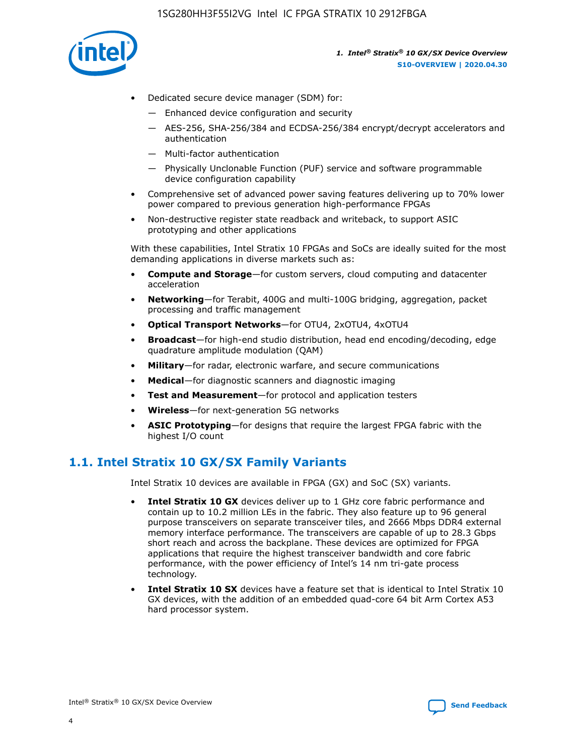

- Dedicated secure device manager (SDM) for:
	- Enhanced device configuration and security
	- AES-256, SHA-256/384 and ECDSA-256/384 encrypt/decrypt accelerators and authentication
	- Multi-factor authentication
	- Physically Unclonable Function (PUF) service and software programmable device configuration capability
- Comprehensive set of advanced power saving features delivering up to 70% lower power compared to previous generation high-performance FPGAs
- Non-destructive register state readback and writeback, to support ASIC prototyping and other applications

With these capabilities, Intel Stratix 10 FPGAs and SoCs are ideally suited for the most demanding applications in diverse markets such as:

- **Compute and Storage**—for custom servers, cloud computing and datacenter acceleration
- **Networking**—for Terabit, 400G and multi-100G bridging, aggregation, packet processing and traffic management
- **Optical Transport Networks**—for OTU4, 2xOTU4, 4xOTU4
- **Broadcast**—for high-end studio distribution, head end encoding/decoding, edge quadrature amplitude modulation (QAM)
- **Military**—for radar, electronic warfare, and secure communications
- **Medical**—for diagnostic scanners and diagnostic imaging
- **Test and Measurement**—for protocol and application testers
- **Wireless**—for next-generation 5G networks
- **ASIC Prototyping**—for designs that require the largest FPGA fabric with the highest I/O count

# **1.1. Intel Stratix 10 GX/SX Family Variants**

Intel Stratix 10 devices are available in FPGA (GX) and SoC (SX) variants.

- **Intel Stratix 10 GX** devices deliver up to 1 GHz core fabric performance and contain up to 10.2 million LEs in the fabric. They also feature up to 96 general purpose transceivers on separate transceiver tiles, and 2666 Mbps DDR4 external memory interface performance. The transceivers are capable of up to 28.3 Gbps short reach and across the backplane. These devices are optimized for FPGA applications that require the highest transceiver bandwidth and core fabric performance, with the power efficiency of Intel's 14 nm tri-gate process technology.
- **Intel Stratix 10 SX** devices have a feature set that is identical to Intel Stratix 10 GX devices, with the addition of an embedded quad-core 64 bit Arm Cortex A53 hard processor system.

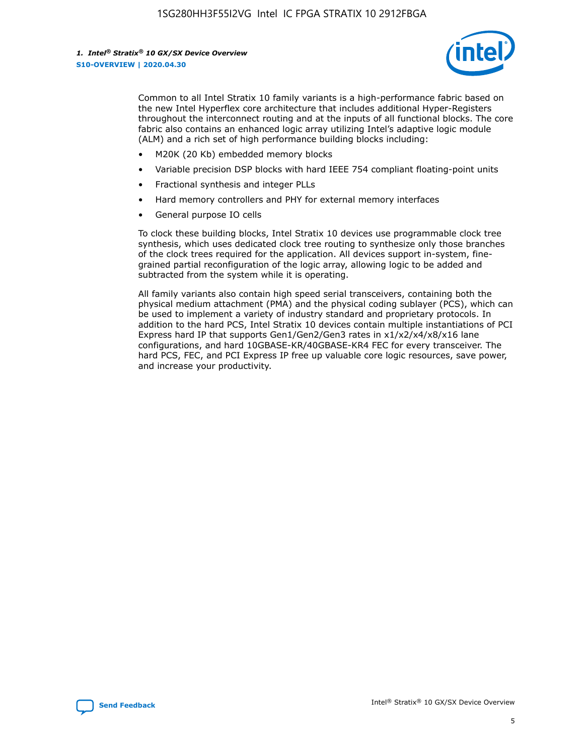

Common to all Intel Stratix 10 family variants is a high-performance fabric based on the new Intel Hyperflex core architecture that includes additional Hyper-Registers throughout the interconnect routing and at the inputs of all functional blocks. The core fabric also contains an enhanced logic array utilizing Intel's adaptive logic module (ALM) and a rich set of high performance building blocks including:

- M20K (20 Kb) embedded memory blocks
- Variable precision DSP blocks with hard IEEE 754 compliant floating-point units
- Fractional synthesis and integer PLLs
- Hard memory controllers and PHY for external memory interfaces
- General purpose IO cells

To clock these building blocks, Intel Stratix 10 devices use programmable clock tree synthesis, which uses dedicated clock tree routing to synthesize only those branches of the clock trees required for the application. All devices support in-system, finegrained partial reconfiguration of the logic array, allowing logic to be added and subtracted from the system while it is operating.

All family variants also contain high speed serial transceivers, containing both the physical medium attachment (PMA) and the physical coding sublayer (PCS), which can be used to implement a variety of industry standard and proprietary protocols. In addition to the hard PCS, Intel Stratix 10 devices contain multiple instantiations of PCI Express hard IP that supports Gen1/Gen2/Gen3 rates in x1/x2/x4/x8/x16 lane configurations, and hard 10GBASE-KR/40GBASE-KR4 FEC for every transceiver. The hard PCS, FEC, and PCI Express IP free up valuable core logic resources, save power, and increase your productivity.

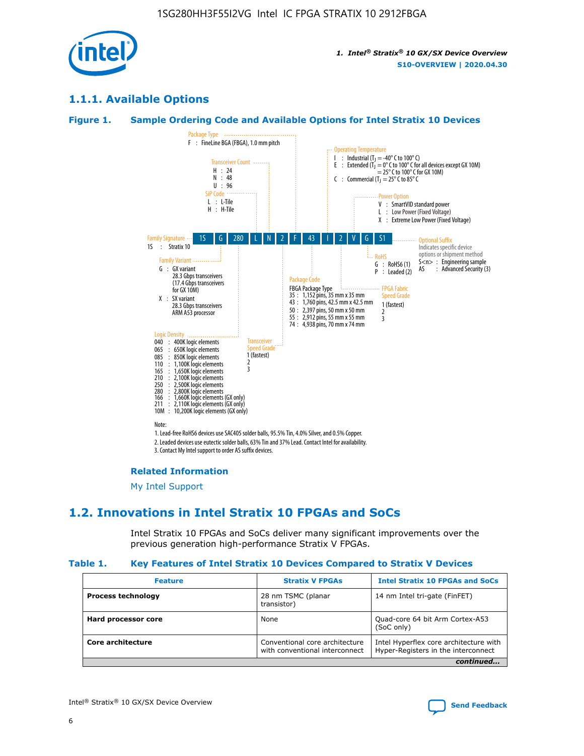

# **1.1.1. Available Options**

#### **Figure 1. Sample Ordering Code and Available Options for Intel Stratix 10 Devices**



#### **Related Information**

[My Intel Support](https://www.intel.com/content/www/us/en/programmable/my-intel/mal-home.html)

# **1.2. Innovations in Intel Stratix 10 FPGAs and SoCs**

Intel Stratix 10 FPGAs and SoCs deliver many significant improvements over the previous generation high-performance Stratix V FPGAs.

#### **Table 1. Key Features of Intel Stratix 10 Devices Compared to Stratix V Devices**

| <b>Feature</b>            | <b>Stratix V FPGAs</b>                                           | <b>Intel Stratix 10 FPGAs and SoCs</b>                                        |
|---------------------------|------------------------------------------------------------------|-------------------------------------------------------------------------------|
| <b>Process technology</b> | 28 nm TSMC (planar<br>transistor)                                | 14 nm Intel tri-gate (FinFET)                                                 |
| Hard processor core       | None                                                             | Quad-core 64 bit Arm Cortex-A53<br>(SoC only)                                 |
| Core architecture         | Conventional core architecture<br>with conventional interconnect | Intel Hyperflex core architecture with<br>Hyper-Registers in the interconnect |
|                           |                                                                  | continued                                                                     |

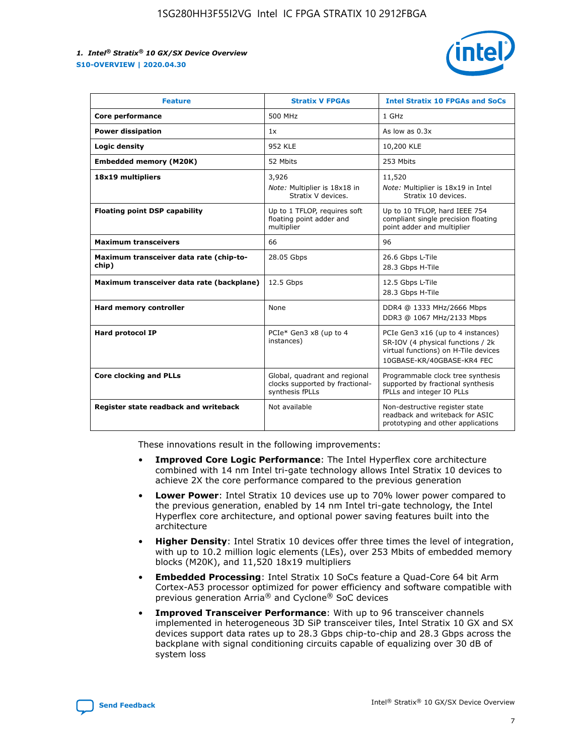

| <b>Feature</b>                                   | <b>Stratix V FPGAs</b>                                                              | <b>Intel Stratix 10 FPGAs and SoCs</b>                                                                                                       |
|--------------------------------------------------|-------------------------------------------------------------------------------------|----------------------------------------------------------------------------------------------------------------------------------------------|
| Core performance                                 | 500 MHz                                                                             | 1 GHz                                                                                                                                        |
| <b>Power dissipation</b>                         | 1x                                                                                  | As low as $0.3x$                                                                                                                             |
| Logic density                                    | 952 KLE                                                                             | 10,200 KLE                                                                                                                                   |
| <b>Embedded memory (M20K)</b>                    | 52 Mbits                                                                            | 253 Mbits                                                                                                                                    |
| 18x19 multipliers                                | 3,926                                                                               | 11,520                                                                                                                                       |
|                                                  | Note: Multiplier is 18x18 in<br>Stratix V devices.                                  | Note: Multiplier is 18x19 in Intel<br>Stratix 10 devices.                                                                                    |
| <b>Floating point DSP capability</b>             | Up to 1 TFLOP, requires soft<br>floating point adder and<br>multiplier              | Up to 10 TFLOP, hard IEEE 754<br>compliant single precision floating<br>point adder and multiplier                                           |
| <b>Maximum transceivers</b>                      | 66                                                                                  | 96                                                                                                                                           |
| Maximum transceiver data rate (chip-to-<br>chip) | 28.05 Gbps                                                                          | 26.6 Gbps L-Tile<br>28.3 Gbps H-Tile                                                                                                         |
| Maximum transceiver data rate (backplane)        | 12.5 Gbps                                                                           | 12.5 Gbps L-Tile<br>28.3 Gbps H-Tile                                                                                                         |
| Hard memory controller                           | None                                                                                | DDR4 @ 1333 MHz/2666 Mbps<br>DDR3 @ 1067 MHz/2133 Mbps                                                                                       |
| <b>Hard protocol IP</b>                          | PCIe* Gen3 x8 (up to 4<br>instances)                                                | PCIe Gen3 x16 (up to 4 instances)<br>SR-IOV (4 physical functions / 2k<br>virtual functions) on H-Tile devices<br>10GBASE-KR/40GBASE-KR4 FEC |
| <b>Core clocking and PLLs</b>                    | Global, quadrant and regional<br>clocks supported by fractional-<br>synthesis fPLLs | Programmable clock tree synthesis<br>supported by fractional synthesis<br>fPLLs and integer IO PLLs                                          |
| Register state readback and writeback            | Not available                                                                       | Non-destructive register state<br>readback and writeback for ASIC<br>prototyping and other applications                                      |

These innovations result in the following improvements:

- **Improved Core Logic Performance**: The Intel Hyperflex core architecture combined with 14 nm Intel tri-gate technology allows Intel Stratix 10 devices to achieve 2X the core performance compared to the previous generation
- **Lower Power**: Intel Stratix 10 devices use up to 70% lower power compared to the previous generation, enabled by 14 nm Intel tri-gate technology, the Intel Hyperflex core architecture, and optional power saving features built into the architecture
- **Higher Density**: Intel Stratix 10 devices offer three times the level of integration, with up to 10.2 million logic elements (LEs), over 253 Mbits of embedded memory blocks (M20K), and 11,520 18x19 multipliers
- **Embedded Processing**: Intel Stratix 10 SoCs feature a Quad-Core 64 bit Arm Cortex-A53 processor optimized for power efficiency and software compatible with previous generation Arria® and Cyclone® SoC devices
- **Improved Transceiver Performance**: With up to 96 transceiver channels implemented in heterogeneous 3D SiP transceiver tiles, Intel Stratix 10 GX and SX devices support data rates up to 28.3 Gbps chip-to-chip and 28.3 Gbps across the backplane with signal conditioning circuits capable of equalizing over 30 dB of system loss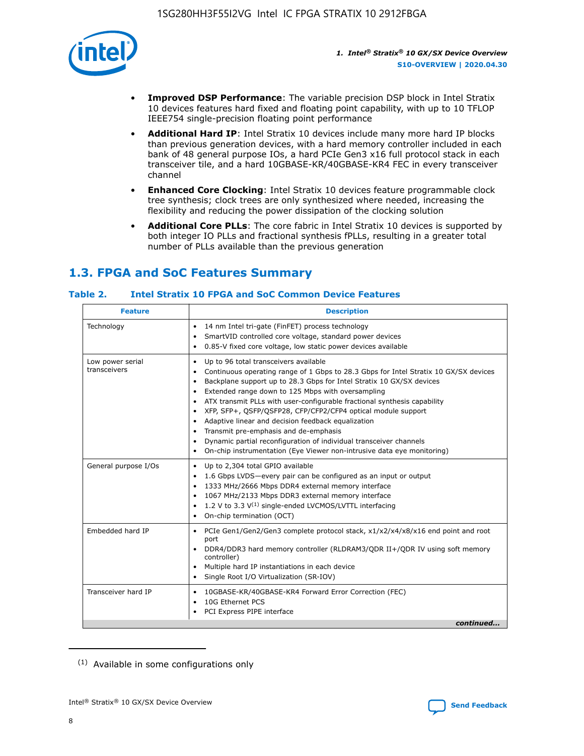

- **Improved DSP Performance**: The variable precision DSP block in Intel Stratix 10 devices features hard fixed and floating point capability, with up to 10 TFLOP IEEE754 single-precision floating point performance
- **Additional Hard IP**: Intel Stratix 10 devices include many more hard IP blocks than previous generation devices, with a hard memory controller included in each bank of 48 general purpose IOs, a hard PCIe Gen3 x16 full protocol stack in each transceiver tile, and a hard 10GBASE-KR/40GBASE-KR4 FEC in every transceiver channel
- **Enhanced Core Clocking**: Intel Stratix 10 devices feature programmable clock tree synthesis; clock trees are only synthesized where needed, increasing the flexibility and reducing the power dissipation of the clocking solution
- **Additional Core PLLs**: The core fabric in Intel Stratix 10 devices is supported by both integer IO PLLs and fractional synthesis fPLLs, resulting in a greater total number of PLLs available than the previous generation

# **1.3. FPGA and SoC Features Summary**

#### **Table 2. Intel Stratix 10 FPGA and SoC Common Device Features**

| <b>Feature</b>                   | <b>Description</b>                                                                                                                                                                                                                                                                                                                                                                                                                                                                                                                                                                                                                                                                                                                      |
|----------------------------------|-----------------------------------------------------------------------------------------------------------------------------------------------------------------------------------------------------------------------------------------------------------------------------------------------------------------------------------------------------------------------------------------------------------------------------------------------------------------------------------------------------------------------------------------------------------------------------------------------------------------------------------------------------------------------------------------------------------------------------------------|
| Technology                       | 14 nm Intel tri-gate (FinFET) process technology<br>٠<br>SmartVID controlled core voltage, standard power devices<br>0.85-V fixed core voltage, low static power devices available                                                                                                                                                                                                                                                                                                                                                                                                                                                                                                                                                      |
| Low power serial<br>transceivers | Up to 96 total transceivers available<br>$\bullet$<br>Continuous operating range of 1 Gbps to 28.3 Gbps for Intel Stratix 10 GX/SX devices<br>$\bullet$<br>Backplane support up to 28.3 Gbps for Intel Stratix 10 GX/SX devices<br>$\bullet$<br>Extended range down to 125 Mbps with oversampling<br>$\bullet$<br>ATX transmit PLLs with user-configurable fractional synthesis capability<br>$\bullet$<br>• XFP, SFP+, QSFP/QSFP28, CFP/CFP2/CFP4 optical module support<br>• Adaptive linear and decision feedback equalization<br>Transmit pre-emphasis and de-emphasis<br>Dynamic partial reconfiguration of individual transceiver channels<br>$\bullet$<br>On-chip instrumentation (Eye Viewer non-intrusive data eye monitoring) |
| General purpose I/Os             | Up to 2,304 total GPIO available<br>$\bullet$<br>1.6 Gbps LVDS-every pair can be configured as an input or output<br>1333 MHz/2666 Mbps DDR4 external memory interface<br>1067 MHz/2133 Mbps DDR3 external memory interface<br>• 1.2 V to 3.3 $V^{(1)}$ single-ended LVCMOS/LVTTL interfacing<br>On-chip termination (OCT)<br>$\bullet$                                                                                                                                                                                                                                                                                                                                                                                                 |
| Embedded hard IP                 | PCIe Gen1/Gen2/Gen3 complete protocol stack, $x1/x2/x4/x8/x16$ end point and root<br>$\bullet$<br>port<br>DDR4/DDR3 hard memory controller (RLDRAM3/QDR II+/QDR IV using soft memory<br>controller)<br>• Multiple hard IP instantiations in each device<br>• Single Root I/O Virtualization (SR-IOV)                                                                                                                                                                                                                                                                                                                                                                                                                                    |
| Transceiver hard IP              | 10GBASE-KR/40GBASE-KR4 Forward Error Correction (FEC)<br>$\bullet$<br>10G Ethernet PCS<br>$\bullet$<br>PCI Express PIPE interface<br>$\bullet$<br>continued                                                                                                                                                                                                                                                                                                                                                                                                                                                                                                                                                                             |

<sup>(1)</sup> Available in some configurations only

8

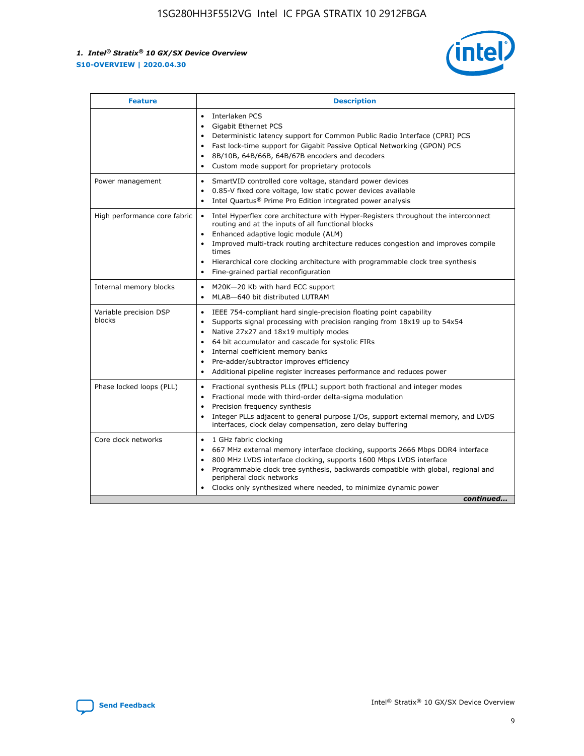

| <b>Feature</b>                   | <b>Description</b>                                                                                                                                                                                                                                                                                                                                                                                                                                                    |
|----------------------------------|-----------------------------------------------------------------------------------------------------------------------------------------------------------------------------------------------------------------------------------------------------------------------------------------------------------------------------------------------------------------------------------------------------------------------------------------------------------------------|
|                                  | Interlaken PCS<br>$\bullet$<br>Gigabit Ethernet PCS<br>$\bullet$<br>Deterministic latency support for Common Public Radio Interface (CPRI) PCS<br>$\bullet$<br>Fast lock-time support for Gigabit Passive Optical Networking (GPON) PCS<br>$\bullet$<br>8B/10B, 64B/66B, 64B/67B encoders and decoders<br>Custom mode support for proprietary protocols                                                                                                               |
| Power management                 | SmartVID controlled core voltage, standard power devices<br>$\bullet$<br>0.85-V fixed core voltage, low static power devices available<br>$\bullet$<br>Intel Quartus <sup>®</sup> Prime Pro Edition integrated power analysis<br>$\bullet$                                                                                                                                                                                                                            |
| High performance core fabric     | Intel Hyperflex core architecture with Hyper-Registers throughout the interconnect<br>routing and at the inputs of all functional blocks<br>Enhanced adaptive logic module (ALM)<br>$\bullet$<br>Improved multi-track routing architecture reduces congestion and improves compile<br>times<br>Hierarchical core clocking architecture with programmable clock tree synthesis<br>$\bullet$<br>Fine-grained partial reconfiguration                                    |
| Internal memory blocks           | M20K-20 Kb with hard ECC support<br>$\bullet$<br>MLAB-640 bit distributed LUTRAM<br>$\bullet$                                                                                                                                                                                                                                                                                                                                                                         |
| Variable precision DSP<br>blocks | IEEE 754-compliant hard single-precision floating point capability<br>$\bullet$<br>Supports signal processing with precision ranging from 18x19 up to 54x54<br>$\bullet$<br>Native 27x27 and 18x19 multiply modes<br>$\bullet$<br>64 bit accumulator and cascade for systolic FIRs<br>Internal coefficient memory banks<br>Pre-adder/subtractor improves efficiency<br>$\bullet$<br>Additional pipeline register increases performance and reduces power<br>$\bullet$ |
| Phase locked loops (PLL)         | Fractional synthesis PLLs (fPLL) support both fractional and integer modes<br>$\bullet$<br>Fractional mode with third-order delta-sigma modulation<br>Precision frequency synthesis<br>$\bullet$<br>Integer PLLs adjacent to general purpose I/Os, support external memory, and LVDS<br>$\bullet$<br>interfaces, clock delay compensation, zero delay buffering                                                                                                       |
| Core clock networks              | 1 GHz fabric clocking<br>$\bullet$<br>667 MHz external memory interface clocking, supports 2666 Mbps DDR4 interface<br>٠<br>800 MHz LVDS interface clocking, supports 1600 Mbps LVDS interface<br>$\bullet$<br>Programmable clock tree synthesis, backwards compatible with global, regional and<br>$\bullet$<br>peripheral clock networks<br>Clocks only synthesized where needed, to minimize dynamic power<br>continued                                            |

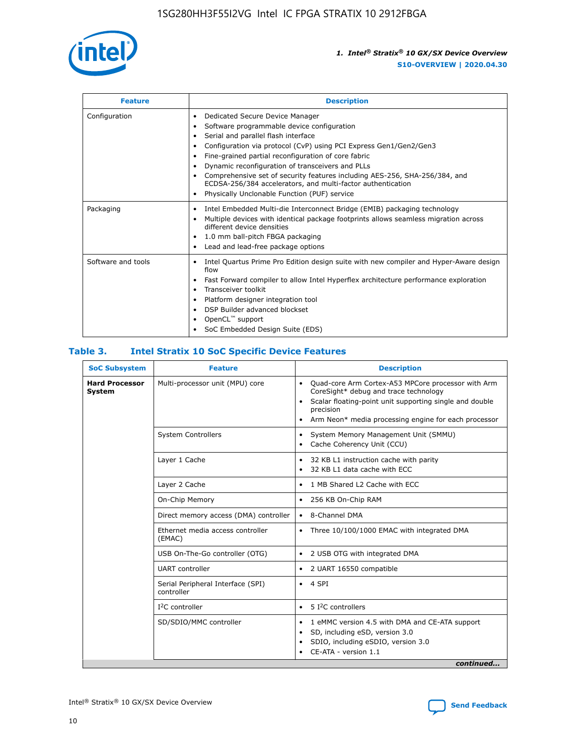

| <b>Feature</b>     | <b>Description</b>                                                                                                                                                                                                                                                                                                                                                                                                                                                                                                    |
|--------------------|-----------------------------------------------------------------------------------------------------------------------------------------------------------------------------------------------------------------------------------------------------------------------------------------------------------------------------------------------------------------------------------------------------------------------------------------------------------------------------------------------------------------------|
| Configuration      | Dedicated Secure Device Manager<br>٠<br>Software programmable device configuration<br>٠<br>Serial and parallel flash interface<br>٠<br>Configuration via protocol (CvP) using PCI Express Gen1/Gen2/Gen3<br>Fine-grained partial reconfiguration of core fabric<br>Dynamic reconfiguration of transceivers and PLLs<br>٠<br>Comprehensive set of security features including AES-256, SHA-256/384, and<br>ECDSA-256/384 accelerators, and multi-factor authentication<br>Physically Unclonable Function (PUF) service |
| Packaging          | Intel Embedded Multi-die Interconnect Bridge (EMIB) packaging technology<br>٠<br>Multiple devices with identical package footprints allows seamless migration across<br>٠<br>different device densities<br>1.0 mm ball-pitch FBGA packaging<br>٠<br>Lead and lead-free package options                                                                                                                                                                                                                                |
| Software and tools | Intel Quartus Prime Pro Edition design suite with new compiler and Hyper-Aware design<br>flow<br>Fast Forward compiler to allow Intel Hyperflex architecture performance exploration<br>٠<br>Transceiver toolkit<br>Platform designer integration tool<br>DSP Builder advanced blockset<br>OpenCL <sup>™</sup> support<br>SoC Embedded Design Suite (EDS)                                                                                                                                                             |

#### **Table 3. Intel Stratix 10 SoC Specific Device Features**

| <b>SoC Subsystem</b>            | <b>Feature</b>                                  | <b>Description</b>                                                                                                                                                                                                                                         |  |  |
|---------------------------------|-------------------------------------------------|------------------------------------------------------------------------------------------------------------------------------------------------------------------------------------------------------------------------------------------------------------|--|--|
| <b>Hard Processor</b><br>System | Multi-processor unit (MPU) core                 | Quad-core Arm Cortex-A53 MPCore processor with Arm<br>$\bullet$<br>CoreSight* debug and trace technology<br>Scalar floating-point unit supporting single and double<br>٠<br>precision<br>Arm Neon* media processing engine for each processor<br>$\bullet$ |  |  |
|                                 | <b>System Controllers</b>                       | System Memory Management Unit (SMMU)<br>٠<br>Cache Coherency Unit (CCU)<br>٠                                                                                                                                                                               |  |  |
|                                 | Layer 1 Cache                                   | 32 KB L1 instruction cache with parity<br>$\bullet$<br>32 KB L1 data cache with ECC<br>$\bullet$                                                                                                                                                           |  |  |
|                                 | Layer 2 Cache                                   | 1 MB Shared L2 Cache with ECC<br>$\bullet$                                                                                                                                                                                                                 |  |  |
|                                 | On-Chip Memory                                  | 256 KB On-Chip RAM<br>$\bullet$                                                                                                                                                                                                                            |  |  |
|                                 | Direct memory access (DMA) controller           | • 8-Channel DMA                                                                                                                                                                                                                                            |  |  |
|                                 | Ethernet media access controller<br>(EMAC)      | Three 10/100/1000 EMAC with integrated DMA<br>$\bullet$                                                                                                                                                                                                    |  |  |
|                                 | USB On-The-Go controller (OTG)                  | 2 USB OTG with integrated DMA<br>$\bullet$                                                                                                                                                                                                                 |  |  |
|                                 | <b>UART</b> controller                          | 2 UART 16550 compatible<br>$\bullet$                                                                                                                                                                                                                       |  |  |
|                                 | Serial Peripheral Interface (SPI)<br>controller | $\bullet$ 4 SPI                                                                                                                                                                                                                                            |  |  |
|                                 | $I2C$ controller                                | 5 <sup>2</sup> C controllers                                                                                                                                                                                                                               |  |  |
|                                 | SD/SDIO/MMC controller                          | 1 eMMC version 4.5 with DMA and CE-ATA support<br>$\bullet$<br>SD, including eSD, version 3.0<br>٠<br>SDIO, including eSDIO, version 3.0<br>$\bullet$<br>CE-ATA - version 1.1<br>continued                                                                 |  |  |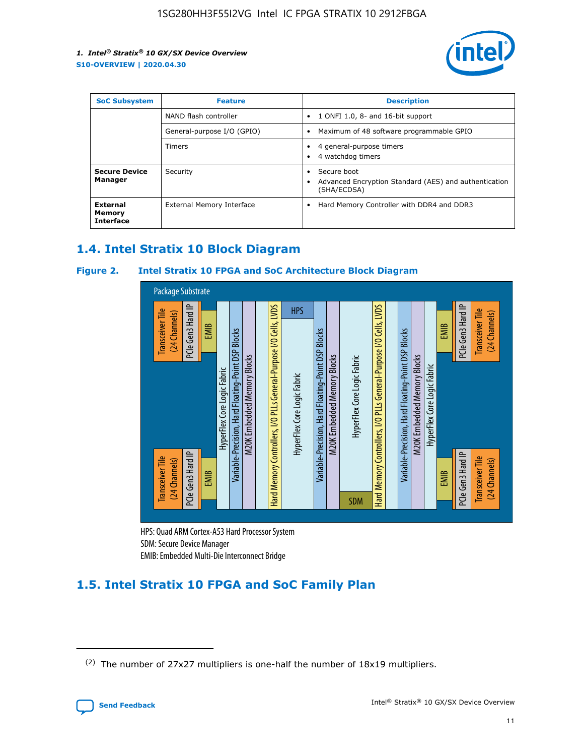

| <b>SoC Subsystem</b>                   | <b>Feature</b>             | <b>Description</b>                                                                            |  |  |
|----------------------------------------|----------------------------|-----------------------------------------------------------------------------------------------|--|--|
|                                        | NAND flash controller      | 1 ONFI 1.0, 8- and 16-bit support<br>$\bullet$                                                |  |  |
|                                        | General-purpose I/O (GPIO) | Maximum of 48 software programmable GPIO<br>$\bullet$                                         |  |  |
|                                        | <b>Timers</b>              | 4 general-purpose timers<br>٠<br>4 watchdog timers                                            |  |  |
| <b>Secure Device</b><br>Manager        | Security                   | Secure boot<br>٠<br>Advanced Encryption Standard (AES) and authentication<br>٠<br>(SHA/ECDSA) |  |  |
| External<br>Memory<br><b>Interface</b> | External Memory Interface  | Hard Memory Controller with DDR4 and DDR3<br>$\bullet$                                        |  |  |

# **1.4. Intel Stratix 10 Block Diagram**

#### **Figure 2. Intel Stratix 10 FPGA and SoC Architecture Block Diagram**



HPS: Quad ARM Cortex-A53 Hard Processor System SDM: Secure Device Manager

# **1.5. Intel Stratix 10 FPGA and SoC Family Plan**

<sup>(2)</sup> The number of 27x27 multipliers is one-half the number of 18x19 multipliers.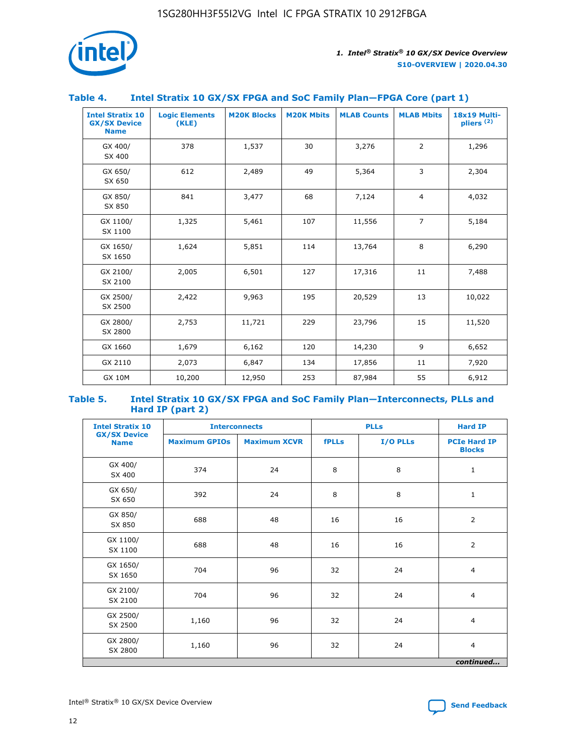

#### **Table 4. Intel Stratix 10 GX/SX FPGA and SoC Family Plan—FPGA Core (part 1)**

| <b>Intel Stratix 10</b><br><b>GX/SX Device</b><br><b>Name</b> | <b>Logic Elements</b><br>(KLE) | <b>M20K Blocks</b> | <b>M20K Mbits</b> | <b>MLAB Counts</b> | <b>MLAB Mbits</b> | 18x19 Multi-<br>pliers <sup>(2)</sup> |
|---------------------------------------------------------------|--------------------------------|--------------------|-------------------|--------------------|-------------------|---------------------------------------|
| GX 400/<br>SX 400                                             | 378                            | 1,537              | 30                | 3,276              | $\overline{2}$    | 1,296                                 |
| GX 650/<br>SX 650                                             | 612                            | 2,489              | 49                | 5,364              | 3                 | 2,304                                 |
| GX 850/<br>SX 850                                             | 841                            | 3,477              | 68                | 7,124              | $\overline{4}$    | 4,032                                 |
| GX 1100/<br>SX 1100                                           | 1,325                          | 5,461              | 107               | 11,556             | $\overline{7}$    | 5,184                                 |
| GX 1650/<br>SX 1650                                           | 1,624                          | 5,851              | 114               | 13,764             | 8                 | 6,290                                 |
| GX 2100/<br>SX 2100                                           | 2,005                          | 6,501              | 127               | 17,316             | 11                | 7,488                                 |
| GX 2500/<br>SX 2500                                           | 2,422                          | 9,963              | 195               | 20,529             | 13                | 10,022                                |
| GX 2800/<br>SX 2800                                           | 2,753                          | 11,721             | 229               | 23,796             | 15                | 11,520                                |
| GX 1660                                                       | 1,679                          | 6,162              | 120               | 14,230             | 9                 | 6,652                                 |
| GX 2110                                                       | 2,073                          | 6,847              | 134               | 17,856             | 11                | 7,920                                 |
| <b>GX 10M</b>                                                 | 10,200                         | 12,950             | 253               | 87,984             | 55                | 6,912                                 |

#### **Table 5. Intel Stratix 10 GX/SX FPGA and SoC Family Plan—Interconnects, PLLs and Hard IP (part 2)**

| <b>Intel Stratix 10</b>            |                      | <b>PLLs</b><br><b>Interconnects</b> |              |          |                                      |  |
|------------------------------------|----------------------|-------------------------------------|--------------|----------|--------------------------------------|--|
| <b>GX/SX Device</b><br><b>Name</b> | <b>Maximum GPIOs</b> | <b>Maximum XCVR</b>                 | <b>fPLLs</b> | I/O PLLs | <b>PCIe Hard IP</b><br><b>Blocks</b> |  |
| GX 400/<br>SX 400                  | 374                  | 24                                  | 8            | 8        | $\mathbf{1}$                         |  |
| GX 650/<br>SX 650                  | 392                  | 24                                  | 8            | 8        | $\mathbf{1}$                         |  |
| GX 850/<br>SX 850                  | 688                  | 48                                  | 16           | 16       | 2                                    |  |
| GX 1100/<br>SX 1100                | 688                  | 48                                  | 16           | 16       | 2                                    |  |
| GX 1650/<br>SX 1650                | 704                  | 96                                  | 32           | 24       | $\overline{4}$                       |  |
| GX 2100/<br>SX 2100                | 704                  | 96                                  | 32           | 24       | 4                                    |  |
| GX 2500/<br>SX 2500                | 1,160                | 96                                  | 32           | 24       | $\overline{4}$                       |  |
| GX 2800/<br>SX 2800                | 1,160                | 96                                  | 32           | 24       | $\overline{4}$                       |  |
| continued                          |                      |                                     |              |          |                                      |  |

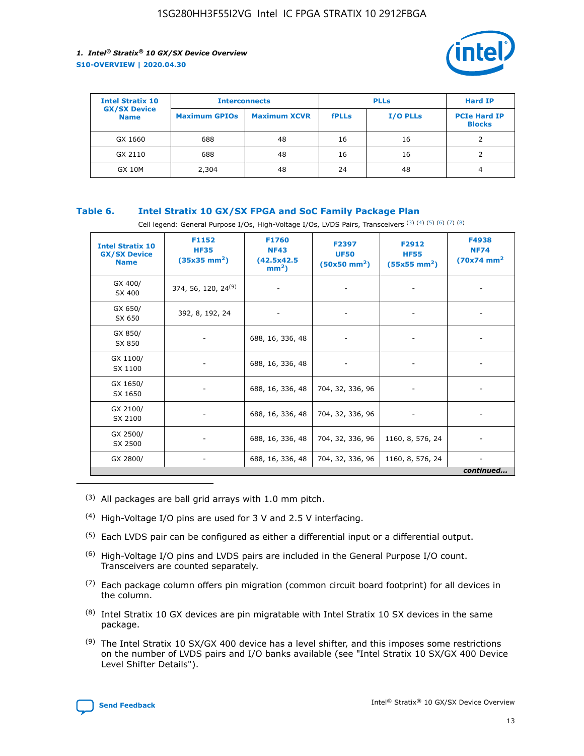

| <b>Intel Stratix 10</b>            | <b>Interconnects</b> |                     |              | <b>Hard IP</b> |                                      |
|------------------------------------|----------------------|---------------------|--------------|----------------|--------------------------------------|
| <b>GX/SX Device</b><br><b>Name</b> | <b>Maximum GPIOs</b> | <b>Maximum XCVR</b> | <b>fPLLs</b> | I/O PLLs       | <b>PCIe Hard IP</b><br><b>Blocks</b> |
| GX 1660                            | 688                  | 48                  | 16           | 16             |                                      |
| GX 2110                            | 688                  | 48                  | 16           | 16             |                                      |
| <b>GX 10M</b>                      | 2,304                | 48                  | 24           | 48             | 4                                    |

#### **Table 6. Intel Stratix 10 GX/SX FPGA and SoC Family Package Plan**

Cell legend: General Purpose I/Os, High-Voltage I/Os, LVDS Pairs, Transceivers (3) (4) (5) (6) (7) (8)

| <b>Intel Stratix 10</b><br><b>GX/SX Device</b><br><b>Name</b> | F1152<br><b>HF35</b><br>$(35x35 \text{ mm}^2)$ | F1760<br><b>NF43</b><br>(42.5x42.5<br>$mm2$ ) | F2397<br><b>UF50</b><br>$(50x50 \text{ mm}^2)$ | F2912<br><b>HF55</b><br>$(55x55$ mm <sup>2</sup> ) | F4938<br><b>NF74</b><br>$(70x74)$ mm <sup>2</sup> |
|---------------------------------------------------------------|------------------------------------------------|-----------------------------------------------|------------------------------------------------|----------------------------------------------------|---------------------------------------------------|
| GX 400/<br>SX 400                                             | 374, 56, 120, 24 <sup>(9)</sup>                | $\overline{\phantom{a}}$                      | $\overline{\phantom{a}}$                       | ۰                                                  |                                                   |
| GX 650/<br>SX 650                                             | 392, 8, 192, 24                                | $\overline{\phantom{a}}$                      |                                                |                                                    |                                                   |
| GX 850/<br>SX 850                                             | ۰.                                             | 688, 16, 336, 48                              |                                                |                                                    |                                                   |
| GX 1100/<br>SX 1100                                           |                                                | 688, 16, 336, 48                              |                                                |                                                    |                                                   |
| GX 1650/<br>SX 1650                                           |                                                | 688, 16, 336, 48                              | 704, 32, 336, 96                               |                                                    |                                                   |
| GX 2100/<br>SX 2100                                           | -                                              | 688, 16, 336, 48                              | 704, 32, 336, 96                               | $\overline{\phantom{a}}$                           |                                                   |
| GX 2500/<br>SX 2500                                           |                                                | 688, 16, 336, 48                              | 704, 32, 336, 96                               | 1160, 8, 576, 24                                   |                                                   |
| GX 2800/                                                      | ۰                                              | 688, 16, 336, 48                              | 704, 32, 336, 96                               | 1160, 8, 576, 24                                   | $\overline{\phantom{a}}$<br>continued             |

- (3) All packages are ball grid arrays with 1.0 mm pitch.
- (4) High-Voltage I/O pins are used for 3 V and 2.5 V interfacing.
- $(5)$  Each LVDS pair can be configured as either a differential input or a differential output.
- (6) High-Voltage I/O pins and LVDS pairs are included in the General Purpose I/O count. Transceivers are counted separately.
- $(7)$  Each package column offers pin migration (common circuit board footprint) for all devices in the column.
- $(8)$  Intel Stratix 10 GX devices are pin migratable with Intel Stratix 10 SX devices in the same package.
- $(9)$  The Intel Stratix 10 SX/GX 400 device has a level shifter, and this imposes some restrictions on the number of LVDS pairs and I/O banks available (see "Intel Stratix 10 SX/GX 400 Device Level Shifter Details").

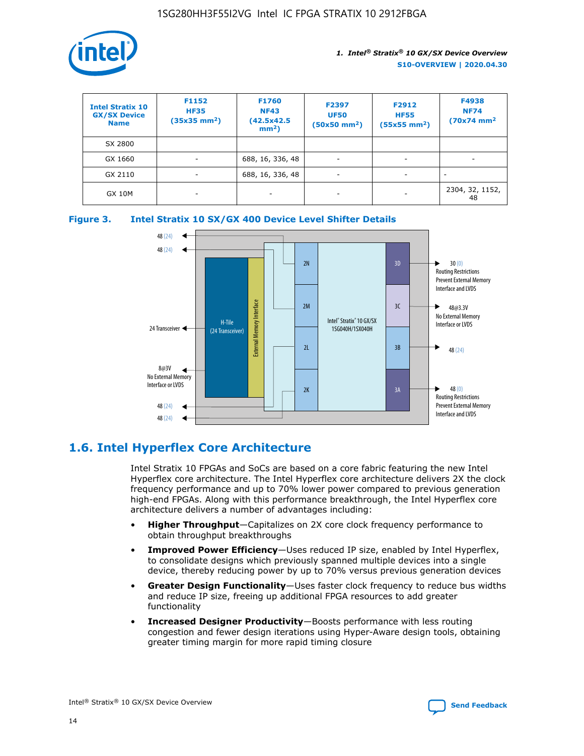

| <b>Intel Stratix 10</b><br><b>GX/SX Device</b><br><b>Name</b> | F1152<br><b>HF35</b><br>$(35x35)$ mm <sup>2</sup> ) | <b>F1760</b><br><b>NF43</b><br>(42.5x42.5<br>$mm2$ ) | F2397<br><b>UF50</b><br>$(50x50 \text{ mm}^2)$ | F2912<br><b>HF55</b><br>$(55x55$ mm <sup>2</sup> ) | F4938<br><b>NF74</b><br>$(70x74)$ mm <sup>2</sup> |
|---------------------------------------------------------------|-----------------------------------------------------|------------------------------------------------------|------------------------------------------------|----------------------------------------------------|---------------------------------------------------|
| SX 2800                                                       |                                                     |                                                      |                                                |                                                    |                                                   |
| GX 1660                                                       | -                                                   | 688, 16, 336, 48                                     | $\overline{\phantom{a}}$                       |                                                    |                                                   |
| GX 2110                                                       |                                                     | 688, 16, 336, 48                                     | $\overline{\phantom{a}}$                       |                                                    |                                                   |
| <b>GX 10M</b>                                                 | ۰                                                   |                                                      |                                                |                                                    | 2304, 32, 1152,<br>48                             |





# **1.6. Intel Hyperflex Core Architecture**

Intel Stratix 10 FPGAs and SoCs are based on a core fabric featuring the new Intel Hyperflex core architecture. The Intel Hyperflex core architecture delivers 2X the clock frequency performance and up to 70% lower power compared to previous generation high-end FPGAs. Along with this performance breakthrough, the Intel Hyperflex core architecture delivers a number of advantages including:

- **Higher Throughput**—Capitalizes on 2X core clock frequency performance to obtain throughput breakthroughs
- **Improved Power Efficiency**—Uses reduced IP size, enabled by Intel Hyperflex, to consolidate designs which previously spanned multiple devices into a single device, thereby reducing power by up to 70% versus previous generation devices
- **Greater Design Functionality**—Uses faster clock frequency to reduce bus widths and reduce IP size, freeing up additional FPGA resources to add greater functionality
- **Increased Designer Productivity**—Boosts performance with less routing congestion and fewer design iterations using Hyper-Aware design tools, obtaining greater timing margin for more rapid timing closure

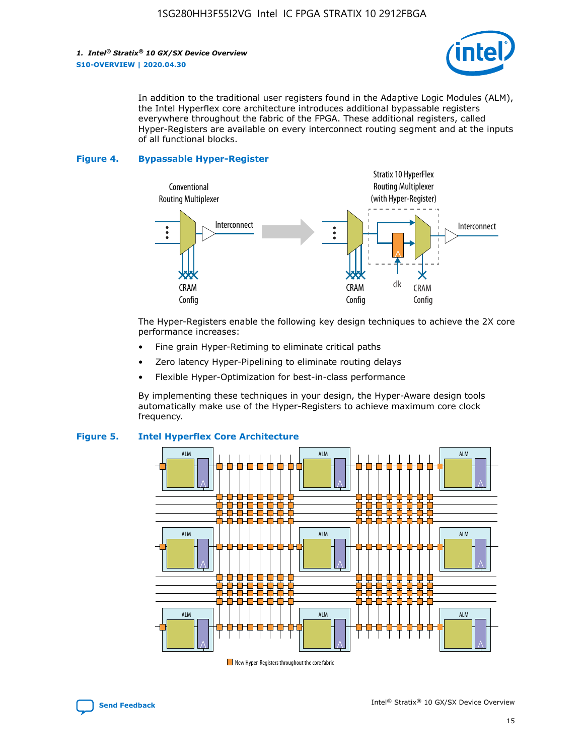

In addition to the traditional user registers found in the Adaptive Logic Modules (ALM), the Intel Hyperflex core architecture introduces additional bypassable registers everywhere throughout the fabric of the FPGA. These additional registers, called Hyper-Registers are available on every interconnect routing segment and at the inputs of all functional blocks.

#### **Figure 4. Bypassable Hyper-Register**



The Hyper-Registers enable the following key design techniques to achieve the 2X core performance increases:

- Fine grain Hyper-Retiming to eliminate critical paths
- Zero latency Hyper-Pipelining to eliminate routing delays
- Flexible Hyper-Optimization for best-in-class performance

By implementing these techniques in your design, the Hyper-Aware design tools automatically make use of the Hyper-Registers to achieve maximum core clock frequency.



#### **Figure 5. Intel Hyperflex Core Architecture**

New Hyper-Registers throughout the core fabric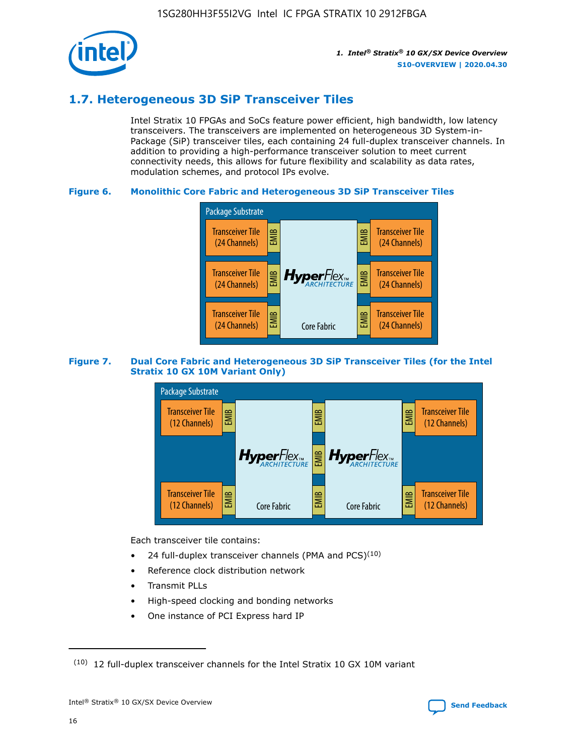

# **1.7. Heterogeneous 3D SiP Transceiver Tiles**

Intel Stratix 10 FPGAs and SoCs feature power efficient, high bandwidth, low latency transceivers. The transceivers are implemented on heterogeneous 3D System-in-Package (SiP) transceiver tiles, each containing 24 full-duplex transceiver channels. In addition to providing a high-performance transceiver solution to meet current connectivity needs, this allows for future flexibility and scalability as data rates, modulation schemes, and protocol IPs evolve.

#### **Figure 6. Monolithic Core Fabric and Heterogeneous 3D SiP Transceiver Tiles**



#### **Figure 7. Dual Core Fabric and Heterogeneous 3D SiP Transceiver Tiles (for the Intel Stratix 10 GX 10M Variant Only)**



Each transceiver tile contains:

- 24 full-duplex transceiver channels (PMA and PCS) $(10)$
- Reference clock distribution network
- Transmit PLLs
- High-speed clocking and bonding networks
- One instance of PCI Express hard IP

16

 $(10)$  12 full-duplex transceiver channels for the Intel Stratix 10 GX 10M variant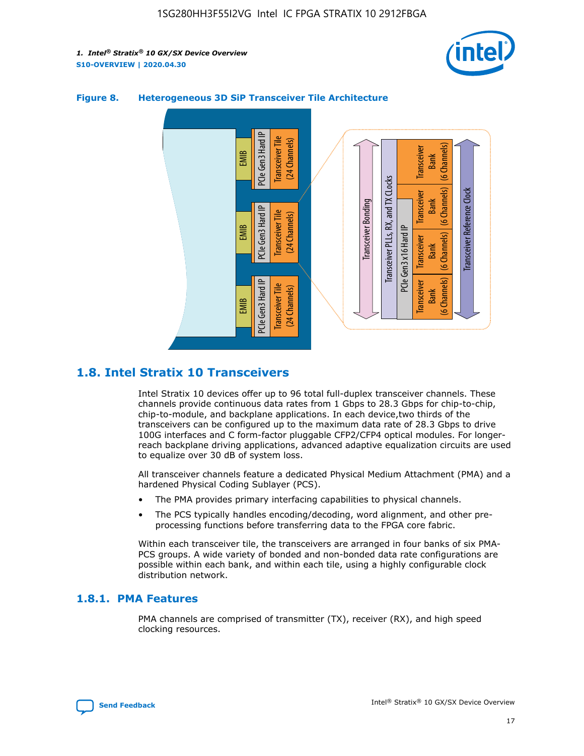



#### **Figure 8. Heterogeneous 3D SiP Transceiver Tile Architecture**

# **1.8. Intel Stratix 10 Transceivers**

Intel Stratix 10 devices offer up to 96 total full-duplex transceiver channels. These channels provide continuous data rates from 1 Gbps to 28.3 Gbps for chip-to-chip, chip-to-module, and backplane applications. In each device,two thirds of the transceivers can be configured up to the maximum data rate of 28.3 Gbps to drive 100G interfaces and C form-factor pluggable CFP2/CFP4 optical modules. For longerreach backplane driving applications, advanced adaptive equalization circuits are used to equalize over 30 dB of system loss.

All transceiver channels feature a dedicated Physical Medium Attachment (PMA) and a hardened Physical Coding Sublayer (PCS).

- The PMA provides primary interfacing capabilities to physical channels.
- The PCS typically handles encoding/decoding, word alignment, and other preprocessing functions before transferring data to the FPGA core fabric.

Within each transceiver tile, the transceivers are arranged in four banks of six PMA-PCS groups. A wide variety of bonded and non-bonded data rate configurations are possible within each bank, and within each tile, using a highly configurable clock distribution network.

#### **1.8.1. PMA Features**

PMA channels are comprised of transmitter (TX), receiver (RX), and high speed clocking resources.

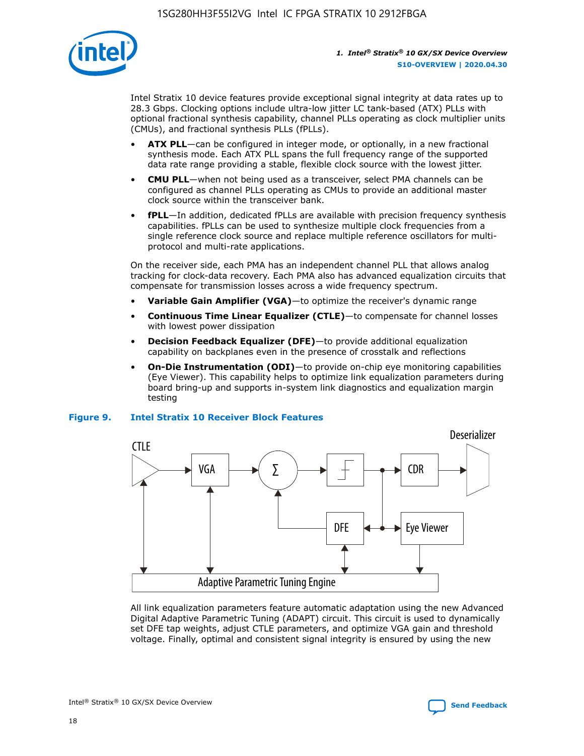

Intel Stratix 10 device features provide exceptional signal integrity at data rates up to 28.3 Gbps. Clocking options include ultra-low jitter LC tank-based (ATX) PLLs with optional fractional synthesis capability, channel PLLs operating as clock multiplier units (CMUs), and fractional synthesis PLLs (fPLLs).

- **ATX PLL**—can be configured in integer mode, or optionally, in a new fractional synthesis mode. Each ATX PLL spans the full frequency range of the supported data rate range providing a stable, flexible clock source with the lowest jitter.
- **CMU PLL**—when not being used as a transceiver, select PMA channels can be configured as channel PLLs operating as CMUs to provide an additional master clock source within the transceiver bank.
- **fPLL**—In addition, dedicated fPLLs are available with precision frequency synthesis capabilities. fPLLs can be used to synthesize multiple clock frequencies from a single reference clock source and replace multiple reference oscillators for multiprotocol and multi-rate applications.

On the receiver side, each PMA has an independent channel PLL that allows analog tracking for clock-data recovery. Each PMA also has advanced equalization circuits that compensate for transmission losses across a wide frequency spectrum.

- **Variable Gain Amplifier (VGA)**—to optimize the receiver's dynamic range
- **Continuous Time Linear Equalizer (CTLE)**—to compensate for channel losses with lowest power dissipation
- **Decision Feedback Equalizer (DFE)**—to provide additional equalization capability on backplanes even in the presence of crosstalk and reflections
- **On-Die Instrumentation (ODI)**—to provide on-chip eye monitoring capabilities (Eye Viewer). This capability helps to optimize link equalization parameters during board bring-up and supports in-system link diagnostics and equalization margin testing

#### **Figure 9. Intel Stratix 10 Receiver Block Features**



All link equalization parameters feature automatic adaptation using the new Advanced Digital Adaptive Parametric Tuning (ADAPT) circuit. This circuit is used to dynamically set DFE tap weights, adjust CTLE parameters, and optimize VGA gain and threshold voltage. Finally, optimal and consistent signal integrity is ensured by using the new



Intel<sup>®</sup> Stratix<sup>®</sup> 10 GX/SX Device Overview **[Send Feedback](mailto:FPGAtechdocfeedback@intel.com?subject=Feedback%20on%20Intel%20Stratix%2010%20GX/SX%20Device%20Overview%20(S10-OVERVIEW%202020.04.30)&body=We%20appreciate%20your%20feedback.%20In%20your%20comments,%20also%20specify%20the%20page%20number%20or%20paragraph.%20Thank%20you.)** Send Feedback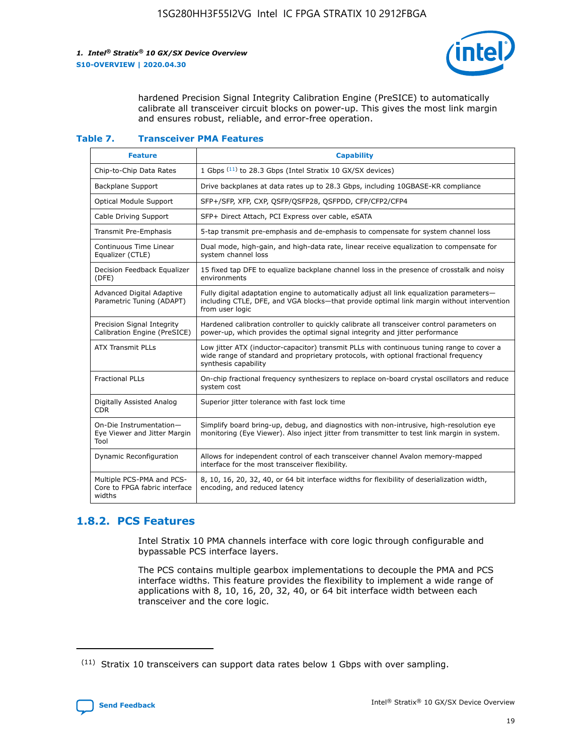

hardened Precision Signal Integrity Calibration Engine (PreSICE) to automatically calibrate all transceiver circuit blocks on power-up. This gives the most link margin and ensures robust, reliable, and error-free operation.

#### **Table 7. Transceiver PMA Features**

| <b>Feature</b>                                                       | <b>Capability</b>                                                                                                                                                                                         |
|----------------------------------------------------------------------|-----------------------------------------------------------------------------------------------------------------------------------------------------------------------------------------------------------|
| Chip-to-Chip Data Rates                                              | 1 Gbps (11) to 28.3 Gbps (Intel Stratix 10 GX/SX devices)                                                                                                                                                 |
| <b>Backplane Support</b>                                             | Drive backplanes at data rates up to 28.3 Gbps, including 10GBASE-KR compliance                                                                                                                           |
| Optical Module Support                                               | SFP+/SFP, XFP, CXP, QSFP/QSFP28, QSFPDD, CFP/CFP2/CFP4                                                                                                                                                    |
| Cable Driving Support                                                | SFP+ Direct Attach, PCI Express over cable, eSATA                                                                                                                                                         |
| <b>Transmit Pre-Emphasis</b>                                         | 5-tap transmit pre-emphasis and de-emphasis to compensate for system channel loss                                                                                                                         |
| Continuous Time Linear<br>Equalizer (CTLE)                           | Dual mode, high-gain, and high-data rate, linear receive equalization to compensate for<br>system channel loss                                                                                            |
| Decision Feedback Equalizer<br>(DFE)                                 | 15 fixed tap DFE to equalize backplane channel loss in the presence of crosstalk and noisy<br>environments                                                                                                |
| Advanced Digital Adaptive<br>Parametric Tuning (ADAPT)               | Fully digital adaptation engine to automatically adjust all link equalization parameters-<br>including CTLE, DFE, and VGA blocks-that provide optimal link margin without intervention<br>from user logic |
| Precision Signal Integrity<br>Calibration Engine (PreSICE)           | Hardened calibration controller to quickly calibrate all transceiver control parameters on<br>power-up, which provides the optimal signal integrity and jitter performance                                |
| <b>ATX Transmit PLLs</b>                                             | Low jitter ATX (inductor-capacitor) transmit PLLs with continuous tuning range to cover a<br>wide range of standard and proprietary protocols, with optional fractional frequency<br>synthesis capability |
| <b>Fractional PLLs</b>                                               | On-chip fractional frequency synthesizers to replace on-board crystal oscillators and reduce<br>system cost                                                                                               |
| Digitally Assisted Analog<br>CDR.                                    | Superior jitter tolerance with fast lock time                                                                                                                                                             |
| On-Die Instrumentation-<br>Eye Viewer and Jitter Margin<br>Tool      | Simplify board bring-up, debug, and diagnostics with non-intrusive, high-resolution eye<br>monitoring (Eye Viewer). Also inject jitter from transmitter to test link margin in system.                    |
| Dynamic Reconfiguration                                              | Allows for independent control of each transceiver channel Avalon memory-mapped<br>interface for the most transceiver flexibility.                                                                        |
| Multiple PCS-PMA and PCS-<br>Core to FPGA fabric interface<br>widths | 8, 10, 16, 20, 32, 40, or 64 bit interface widths for flexibility of deserialization width,<br>encoding, and reduced latency                                                                              |

### **1.8.2. PCS Features**

Intel Stratix 10 PMA channels interface with core logic through configurable and bypassable PCS interface layers.

The PCS contains multiple gearbox implementations to decouple the PMA and PCS interface widths. This feature provides the flexibility to implement a wide range of applications with 8, 10, 16, 20, 32, 40, or 64 bit interface width between each transceiver and the core logic.

<sup>(11)</sup> Stratix 10 transceivers can support data rates below 1 Gbps with over sampling.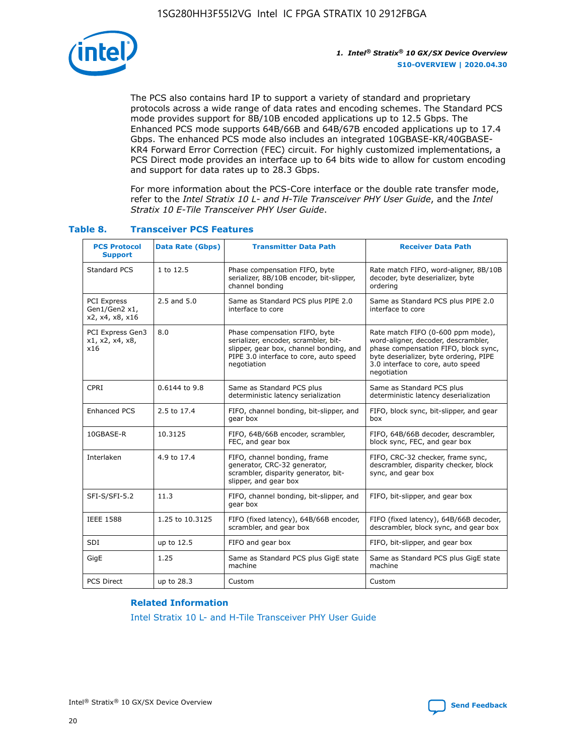

The PCS also contains hard IP to support a variety of standard and proprietary protocols across a wide range of data rates and encoding schemes. The Standard PCS mode provides support for 8B/10B encoded applications up to 12.5 Gbps. The Enhanced PCS mode supports 64B/66B and 64B/67B encoded applications up to 17.4 Gbps. The enhanced PCS mode also includes an integrated 10GBASE-KR/40GBASE-KR4 Forward Error Correction (FEC) circuit. For highly customized implementations, a PCS Direct mode provides an interface up to 64 bits wide to allow for custom encoding and support for data rates up to 28.3 Gbps.

For more information about the PCS-Core interface or the double rate transfer mode, refer to the *Intel Stratix 10 L- and H-Tile Transceiver PHY User Guide*, and the *Intel Stratix 10 E-Tile Transceiver PHY User Guide*.

| <b>PCS Protocol</b><br><b>Support</b>           | <b>Data Rate (Gbps)</b> | <b>Transmitter Data Path</b>                                                                                                                                              | <b>Receiver Data Path</b>                                                                                                                                                                                      |
|-------------------------------------------------|-------------------------|---------------------------------------------------------------------------------------------------------------------------------------------------------------------------|----------------------------------------------------------------------------------------------------------------------------------------------------------------------------------------------------------------|
| Standard PCS                                    | 1 to 12.5               | Phase compensation FIFO, byte<br>serializer, 8B/10B encoder, bit-slipper,<br>channel bonding                                                                              | Rate match FIFO, word-aligner, 8B/10B<br>decoder, byte deserializer, byte<br>ordering                                                                                                                          |
| PCI Express<br>Gen1/Gen2 x1,<br>x2, x4, x8, x16 | $2.5$ and $5.0$         | Same as Standard PCS plus PIPE 2.0<br>interface to core                                                                                                                   | Same as Standard PCS plus PIPE 2.0<br>interface to core                                                                                                                                                        |
| PCI Express Gen3<br>x1, x2, x4, x8,<br>x16      | 8.0                     | Phase compensation FIFO, byte<br>serializer, encoder, scrambler, bit-<br>slipper, gear box, channel bonding, and<br>PIPE 3.0 interface to core, auto speed<br>negotiation | Rate match FIFO (0-600 ppm mode),<br>word-aligner, decoder, descrambler,<br>phase compensation FIFO, block sync,<br>byte deserializer, byte ordering, PIPE<br>3.0 interface to core, auto speed<br>negotiation |
| CPRI                                            | 0.6144 to 9.8           | Same as Standard PCS plus<br>deterministic latency serialization                                                                                                          | Same as Standard PCS plus<br>deterministic latency deserialization                                                                                                                                             |
| <b>Enhanced PCS</b>                             | 2.5 to 17.4             | FIFO, channel bonding, bit-slipper, and<br>gear box                                                                                                                       | FIFO, block sync, bit-slipper, and gear<br>box                                                                                                                                                                 |
| 10GBASE-R                                       | 10.3125                 | FIFO, 64B/66B encoder, scrambler,<br>FEC, and gear box                                                                                                                    | FIFO, 64B/66B decoder, descrambler,<br>block sync, FEC, and gear box                                                                                                                                           |
| Interlaken                                      | 4.9 to 17.4             | FIFO, channel bonding, frame<br>generator, CRC-32 generator,<br>scrambler, disparity generator, bit-<br>slipper, and gear box                                             | FIFO, CRC-32 checker, frame sync,<br>descrambler, disparity checker, block<br>sync, and gear box                                                                                                               |
| SFI-S/SFI-5.2                                   | 11.3                    | FIFO, channel bonding, bit-slipper, and<br>gear box                                                                                                                       | FIFO, bit-slipper, and gear box                                                                                                                                                                                |
| <b>IEEE 1588</b>                                | 1.25 to 10.3125         | FIFO (fixed latency), 64B/66B encoder,<br>scrambler, and gear box                                                                                                         | FIFO (fixed latency), 64B/66B decoder,<br>descrambler, block sync, and gear box                                                                                                                                |
| SDI                                             | up to 12.5              | FIFO and gear box                                                                                                                                                         | FIFO, bit-slipper, and gear box                                                                                                                                                                                |
| GigE                                            | 1.25                    | Same as Standard PCS plus GigE state<br>machine                                                                                                                           | Same as Standard PCS plus GigE state<br>machine                                                                                                                                                                |
| <b>PCS Direct</b>                               | up to 28.3              | Custom                                                                                                                                                                    | Custom                                                                                                                                                                                                         |

#### **Table 8. Transceiver PCS Features**

#### **Related Information**

[Intel Stratix 10 L- and H-Tile Transceiver PHY User Guide](https://www.altera.com/documentation/wry1479165198810.html)

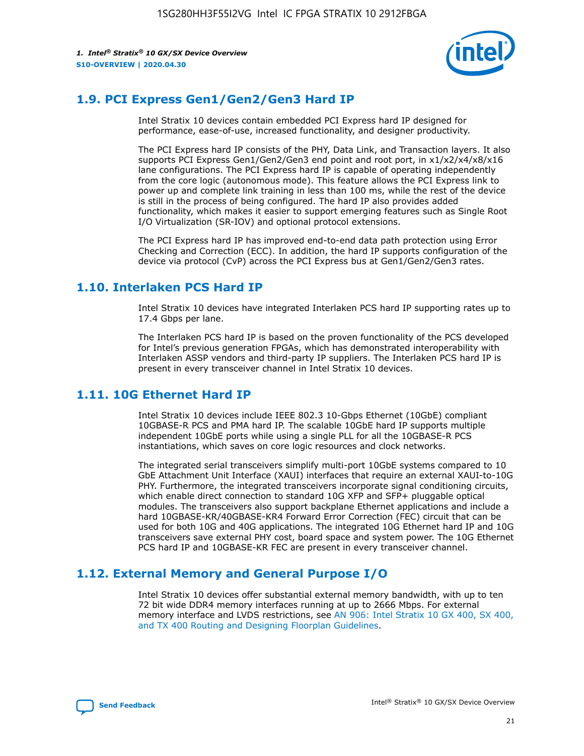

# **1.9. PCI Express Gen1/Gen2/Gen3 Hard IP**

Intel Stratix 10 devices contain embedded PCI Express hard IP designed for performance, ease-of-use, increased functionality, and designer productivity.

The PCI Express hard IP consists of the PHY, Data Link, and Transaction layers. It also supports PCI Express Gen1/Gen2/Gen3 end point and root port, in x1/x2/x4/x8/x16 lane configurations. The PCI Express hard IP is capable of operating independently from the core logic (autonomous mode). This feature allows the PCI Express link to power up and complete link training in less than 100 ms, while the rest of the device is still in the process of being configured. The hard IP also provides added functionality, which makes it easier to support emerging features such as Single Root I/O Virtualization (SR-IOV) and optional protocol extensions.

The PCI Express hard IP has improved end-to-end data path protection using Error Checking and Correction (ECC). In addition, the hard IP supports configuration of the device via protocol (CvP) across the PCI Express bus at Gen1/Gen2/Gen3 rates.

# **1.10. Interlaken PCS Hard IP**

Intel Stratix 10 devices have integrated Interlaken PCS hard IP supporting rates up to 17.4 Gbps per lane.

The Interlaken PCS hard IP is based on the proven functionality of the PCS developed for Intel's previous generation FPGAs, which has demonstrated interoperability with Interlaken ASSP vendors and third-party IP suppliers. The Interlaken PCS hard IP is present in every transceiver channel in Intel Stratix 10 devices.

# **1.11. 10G Ethernet Hard IP**

Intel Stratix 10 devices include IEEE 802.3 10-Gbps Ethernet (10GbE) compliant 10GBASE-R PCS and PMA hard IP. The scalable 10GbE hard IP supports multiple independent 10GbE ports while using a single PLL for all the 10GBASE-R PCS instantiations, which saves on core logic resources and clock networks.

The integrated serial transceivers simplify multi-port 10GbE systems compared to 10 GbE Attachment Unit Interface (XAUI) interfaces that require an external XAUI-to-10G PHY. Furthermore, the integrated transceivers incorporate signal conditioning circuits, which enable direct connection to standard 10G XFP and SFP+ pluggable optical modules. The transceivers also support backplane Ethernet applications and include a hard 10GBASE-KR/40GBASE-KR4 Forward Error Correction (FEC) circuit that can be used for both 10G and 40G applications. The integrated 10G Ethernet hard IP and 10G transceivers save external PHY cost, board space and system power. The 10G Ethernet PCS hard IP and 10GBASE-KR FEC are present in every transceiver channel.

# **1.12. External Memory and General Purpose I/O**

Intel Stratix 10 devices offer substantial external memory bandwidth, with up to ten 72 bit wide DDR4 memory interfaces running at up to 2666 Mbps. For external memory interface and LVDS restrictions, see [AN 906: Intel Stratix 10 GX 400, SX 400,](https://www.intel.com/content/www/us/en/programmable/documentation/sjf1574667190623.html#bft1574667627484) [and TX 400 Routing and Designing Floorplan Guidelines.](https://www.intel.com/content/www/us/en/programmable/documentation/sjf1574667190623.html#bft1574667627484)

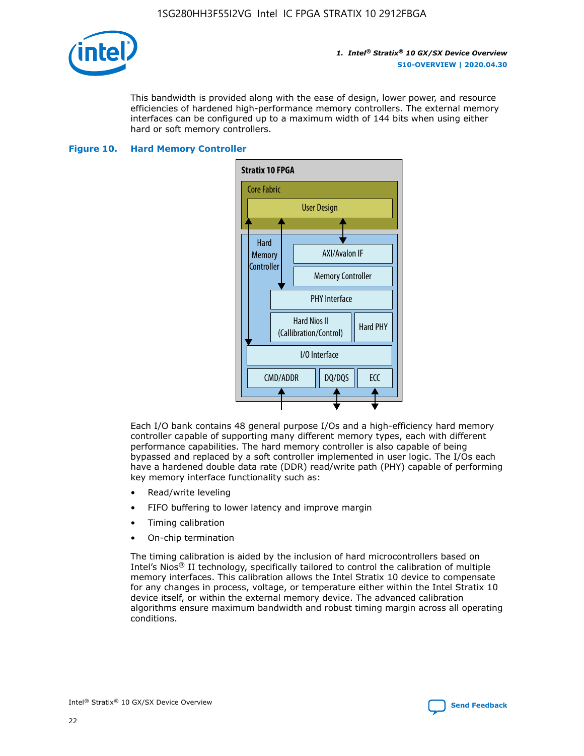

This bandwidth is provided along with the ease of design, lower power, and resource efficiencies of hardened high-performance memory controllers. The external memory interfaces can be configured up to a maximum width of 144 bits when using either hard or soft memory controllers.

#### **Figure 10. Hard Memory Controller**



Each I/O bank contains 48 general purpose I/Os and a high-efficiency hard memory controller capable of supporting many different memory types, each with different performance capabilities. The hard memory controller is also capable of being bypassed and replaced by a soft controller implemented in user logic. The I/Os each have a hardened double data rate (DDR) read/write path (PHY) capable of performing key memory interface functionality such as:

- Read/write leveling
- FIFO buffering to lower latency and improve margin
- Timing calibration
- On-chip termination

The timing calibration is aided by the inclusion of hard microcontrollers based on Intel's Nios® II technology, specifically tailored to control the calibration of multiple memory interfaces. This calibration allows the Intel Stratix 10 device to compensate for any changes in process, voltage, or temperature either within the Intel Stratix 10 device itself, or within the external memory device. The advanced calibration algorithms ensure maximum bandwidth and robust timing margin across all operating conditions.

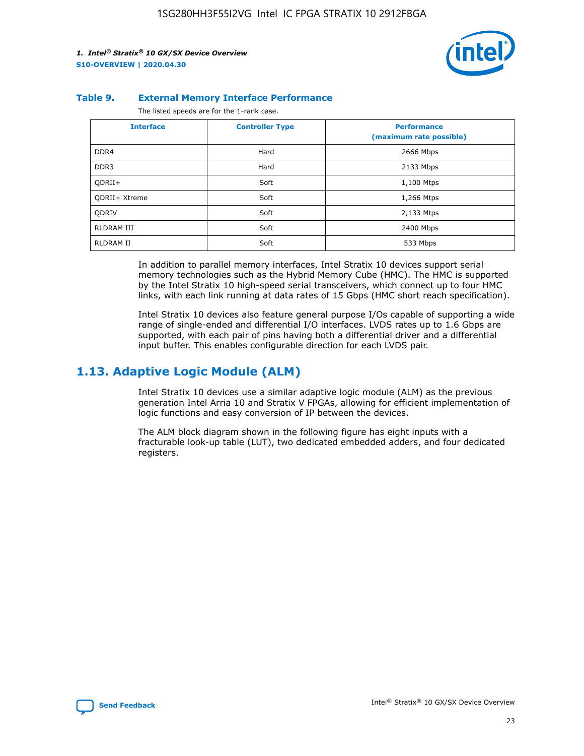

#### **Table 9. External Memory Interface Performance**

The listed speeds are for the 1-rank case.

| <b>Interface</b>     | <b>Controller Type</b> | <b>Performance</b><br>(maximum rate possible) |
|----------------------|------------------------|-----------------------------------------------|
| DDR4                 | Hard                   | 2666 Mbps                                     |
| DDR <sub>3</sub>     | Hard                   | 2133 Mbps                                     |
| QDRII+               | Soft                   | 1,100 Mtps                                    |
| <b>ODRII+ Xtreme</b> | Soft                   | 1,266 Mtps                                    |
| <b>ODRIV</b>         | Soft                   | 2,133 Mtps                                    |
| RLDRAM III           | Soft                   | 2400 Mbps                                     |
| <b>RLDRAM II</b>     | Soft                   | 533 Mbps                                      |

In addition to parallel memory interfaces, Intel Stratix 10 devices support serial memory technologies such as the Hybrid Memory Cube (HMC). The HMC is supported by the Intel Stratix 10 high-speed serial transceivers, which connect up to four HMC links, with each link running at data rates of 15 Gbps (HMC short reach specification).

Intel Stratix 10 devices also feature general purpose I/Os capable of supporting a wide range of single-ended and differential I/O interfaces. LVDS rates up to 1.6 Gbps are supported, with each pair of pins having both a differential driver and a differential input buffer. This enables configurable direction for each LVDS pair.

### **1.13. Adaptive Logic Module (ALM)**

Intel Stratix 10 devices use a similar adaptive logic module (ALM) as the previous generation Intel Arria 10 and Stratix V FPGAs, allowing for efficient implementation of logic functions and easy conversion of IP between the devices.

The ALM block diagram shown in the following figure has eight inputs with a fracturable look-up table (LUT), two dedicated embedded adders, and four dedicated registers.

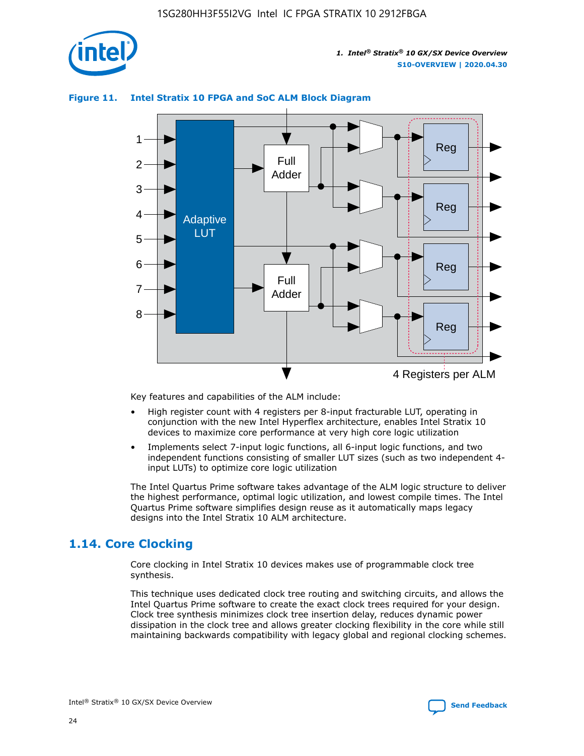

# 1 2 3 Full Adder

#### **Figure 11. Intel Stratix 10 FPGA and SoC ALM Block Diagram**

Reg Reg 4 5 6 7 8 Reg Reg 4 Registers per ALM Full Adder Adaptive **LUT** 

Key features and capabilities of the ALM include:

- High register count with 4 registers per 8-input fracturable LUT, operating in conjunction with the new Intel Hyperflex architecture, enables Intel Stratix 10 devices to maximize core performance at very high core logic utilization
- Implements select 7-input logic functions, all 6-input logic functions, and two independent functions consisting of smaller LUT sizes (such as two independent 4 input LUTs) to optimize core logic utilization

The Intel Quartus Prime software takes advantage of the ALM logic structure to deliver the highest performance, optimal logic utilization, and lowest compile times. The Intel Quartus Prime software simplifies design reuse as it automatically maps legacy designs into the Intel Stratix 10 ALM architecture.

# **1.14. Core Clocking**

Core clocking in Intel Stratix 10 devices makes use of programmable clock tree synthesis.

This technique uses dedicated clock tree routing and switching circuits, and allows the Intel Quartus Prime software to create the exact clock trees required for your design. Clock tree synthesis minimizes clock tree insertion delay, reduces dynamic power dissipation in the clock tree and allows greater clocking flexibility in the core while still maintaining backwards compatibility with legacy global and regional clocking schemes.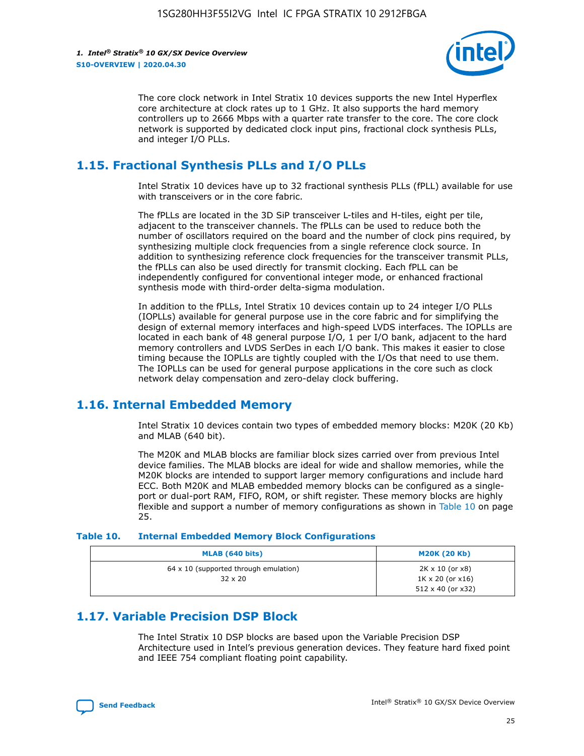

The core clock network in Intel Stratix 10 devices supports the new Intel Hyperflex core architecture at clock rates up to 1 GHz. It also supports the hard memory controllers up to 2666 Mbps with a quarter rate transfer to the core. The core clock network is supported by dedicated clock input pins, fractional clock synthesis PLLs, and integer I/O PLLs.

# **1.15. Fractional Synthesis PLLs and I/O PLLs**

Intel Stratix 10 devices have up to 32 fractional synthesis PLLs (fPLL) available for use with transceivers or in the core fabric.

The fPLLs are located in the 3D SiP transceiver L-tiles and H-tiles, eight per tile, adjacent to the transceiver channels. The fPLLs can be used to reduce both the number of oscillators required on the board and the number of clock pins required, by synthesizing multiple clock frequencies from a single reference clock source. In addition to synthesizing reference clock frequencies for the transceiver transmit PLLs, the fPLLs can also be used directly for transmit clocking. Each fPLL can be independently configured for conventional integer mode, or enhanced fractional synthesis mode with third-order delta-sigma modulation.

In addition to the fPLLs, Intel Stratix 10 devices contain up to 24 integer I/O PLLs (IOPLLs) available for general purpose use in the core fabric and for simplifying the design of external memory interfaces and high-speed LVDS interfaces. The IOPLLs are located in each bank of 48 general purpose I/O, 1 per I/O bank, adjacent to the hard memory controllers and LVDS SerDes in each I/O bank. This makes it easier to close timing because the IOPLLs are tightly coupled with the I/Os that need to use them. The IOPLLs can be used for general purpose applications in the core such as clock network delay compensation and zero-delay clock buffering.

# **1.16. Internal Embedded Memory**

Intel Stratix 10 devices contain two types of embedded memory blocks: M20K (20 Kb) and MLAB (640 bit).

The M20K and MLAB blocks are familiar block sizes carried over from previous Intel device families. The MLAB blocks are ideal for wide and shallow memories, while the M20K blocks are intended to support larger memory configurations and include hard ECC. Both M20K and MLAB embedded memory blocks can be configured as a singleport or dual-port RAM, FIFO, ROM, or shift register. These memory blocks are highly flexible and support a number of memory configurations as shown in Table 10 on page 25.

#### **Table 10. Internal Embedded Memory Block Configurations**

| MLAB (640 bits)                                                | <b>M20K (20 Kb)</b>                                                          |
|----------------------------------------------------------------|------------------------------------------------------------------------------|
| $64 \times 10$ (supported through emulation)<br>$32 \times 20$ | 2K x 10 (or x8)<br>$1K \times 20$ (or $x16$ )<br>$512 \times 40$ (or $x32$ ) |

# **1.17. Variable Precision DSP Block**

The Intel Stratix 10 DSP blocks are based upon the Variable Precision DSP Architecture used in Intel's previous generation devices. They feature hard fixed point and IEEE 754 compliant floating point capability.

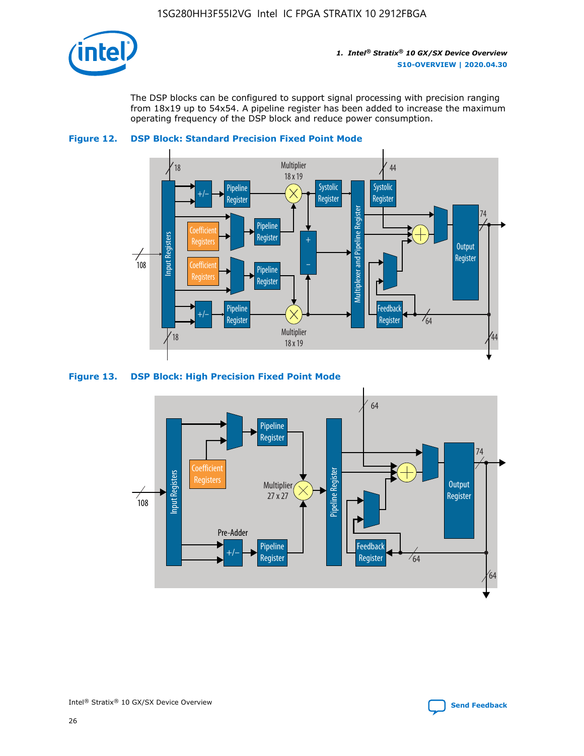

The DSP blocks can be configured to support signal processing with precision ranging from 18x19 up to 54x54. A pipeline register has been added to increase the maximum operating frequency of the DSP block and reduce power consumption.





#### **Figure 13. DSP Block: High Precision Fixed Point Mode**

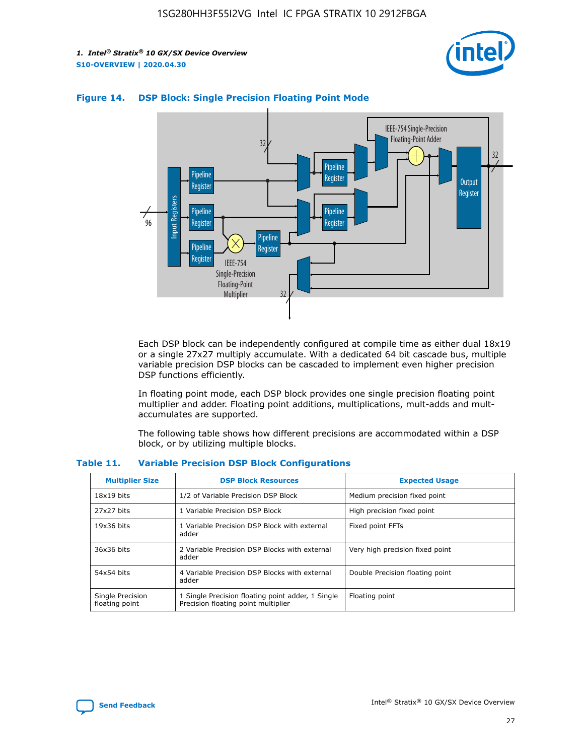



#### **Figure 14. DSP Block: Single Precision Floating Point Mode**

Each DSP block can be independently configured at compile time as either dual 18x19 or a single 27x27 multiply accumulate. With a dedicated 64 bit cascade bus, multiple variable precision DSP blocks can be cascaded to implement even higher precision DSP functions efficiently.

In floating point mode, each DSP block provides one single precision floating point multiplier and adder. Floating point additions, multiplications, mult-adds and multaccumulates are supported.

The following table shows how different precisions are accommodated within a DSP block, or by utilizing multiple blocks.

| <b>Multiplier Size</b>             | <b>DSP Block Resources</b>                                                               | <b>Expected Usage</b>           |
|------------------------------------|------------------------------------------------------------------------------------------|---------------------------------|
| $18x19$ bits                       | 1/2 of Variable Precision DSP Block                                                      | Medium precision fixed point    |
| 27x27 bits                         | 1 Variable Precision DSP Block                                                           | High precision fixed point      |
| $19x36$ bits                       | 1 Variable Precision DSP Block with external<br>adder                                    | Fixed point FFTs                |
| 36x36 bits                         | 2 Variable Precision DSP Blocks with external<br>adder                                   | Very high precision fixed point |
| 54x54 bits                         | 4 Variable Precision DSP Blocks with external<br>adder                                   | Double Precision floating point |
| Single Precision<br>floating point | 1 Single Precision floating point adder, 1 Single<br>Precision floating point multiplier | Floating point                  |

#### **Table 11. Variable Precision DSP Block Configurations**

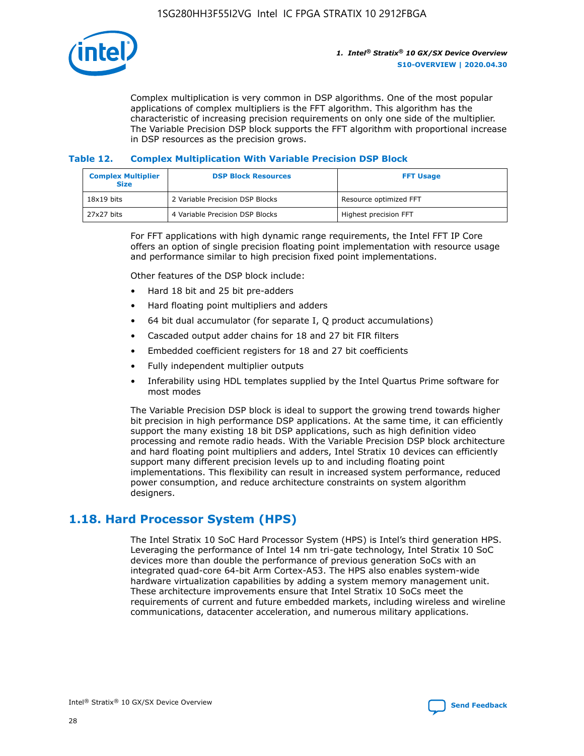

Complex multiplication is very common in DSP algorithms. One of the most popular applications of complex multipliers is the FFT algorithm. This algorithm has the characteristic of increasing precision requirements on only one side of the multiplier. The Variable Precision DSP block supports the FFT algorithm with proportional increase in DSP resources as the precision grows.

#### **Table 12. Complex Multiplication With Variable Precision DSP Block**

| <b>Complex Multiplier</b><br><b>Size</b> | <b>DSP Block Resources</b>      | <b>FFT Usage</b>       |
|------------------------------------------|---------------------------------|------------------------|
| $18x19$ bits                             | 2 Variable Precision DSP Blocks | Resource optimized FFT |
| 27x27 bits                               | 4 Variable Precision DSP Blocks | Highest precision FFT  |

For FFT applications with high dynamic range requirements, the Intel FFT IP Core offers an option of single precision floating point implementation with resource usage and performance similar to high precision fixed point implementations.

Other features of the DSP block include:

- Hard 18 bit and 25 bit pre-adders
- Hard floating point multipliers and adders
- 64 bit dual accumulator (for separate I, Q product accumulations)
- Cascaded output adder chains for 18 and 27 bit FIR filters
- Embedded coefficient registers for 18 and 27 bit coefficients
- Fully independent multiplier outputs
- Inferability using HDL templates supplied by the Intel Quartus Prime software for most modes

The Variable Precision DSP block is ideal to support the growing trend towards higher bit precision in high performance DSP applications. At the same time, it can efficiently support the many existing 18 bit DSP applications, such as high definition video processing and remote radio heads. With the Variable Precision DSP block architecture and hard floating point multipliers and adders, Intel Stratix 10 devices can efficiently support many different precision levels up to and including floating point implementations. This flexibility can result in increased system performance, reduced power consumption, and reduce architecture constraints on system algorithm designers.

# **1.18. Hard Processor System (HPS)**

The Intel Stratix 10 SoC Hard Processor System (HPS) is Intel's third generation HPS. Leveraging the performance of Intel 14 nm tri-gate technology, Intel Stratix 10 SoC devices more than double the performance of previous generation SoCs with an integrated quad-core 64-bit Arm Cortex-A53. The HPS also enables system-wide hardware virtualization capabilities by adding a system memory management unit. These architecture improvements ensure that Intel Stratix 10 SoCs meet the requirements of current and future embedded markets, including wireless and wireline communications, datacenter acceleration, and numerous military applications.

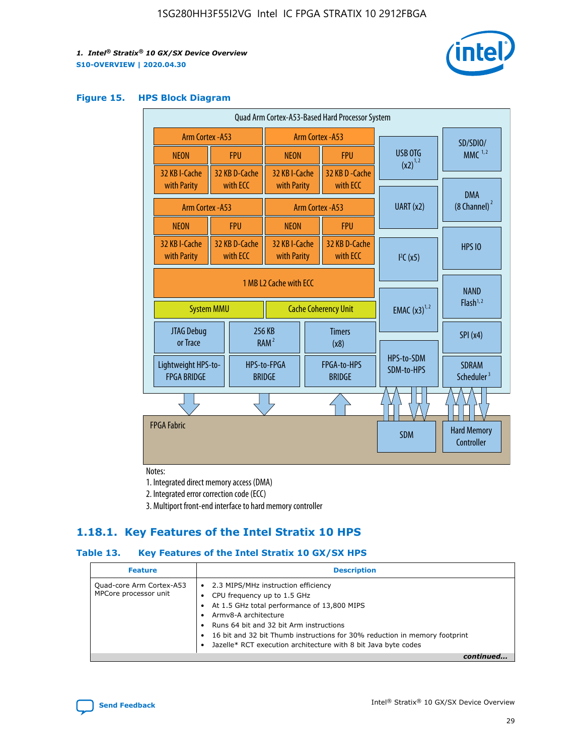

#### **Figure 15. HPS Block Diagram**

| Quad Arm Cortex-A53-Based Hard Processor System |  |                              |                                                           |                              |                             |                          |                                        |          |
|-------------------------------------------------|--|------------------------------|-----------------------------------------------------------|------------------------------|-----------------------------|--------------------------|----------------------------------------|----------|
| Arm Cortex - A53                                |  |                              | Arm Cortex - A53                                          |                              |                             |                          |                                        | SD/SDIO/ |
| <b>NEON</b>                                     |  | <b>FPU</b>                   | <b>NEON</b>                                               |                              | <b>FPU</b>                  | USB OTG                  | MMC $1,2$                              |          |
| 32 KB I-Cache<br>with Parity                    |  | 32 KB D-Cache<br>with ECC    | 32 KB I-Cache<br>with Parity                              |                              | 32 KB D - Cache<br>with ECC | $(x2)^{1,2}$             |                                        |          |
|                                                 |  |                              |                                                           |                              |                             |                          | <b>DMA</b>                             |          |
| Arm Cortex - A53                                |  |                              |                                                           |                              | <b>Arm Cortex - A53</b>     | UART (x2)                | $(8$ Channel) $^2$                     |          |
| <b>NEON</b>                                     |  | <b>FPU</b>                   | <b>NFON</b>                                               |                              | <b>FPU</b>                  |                          |                                        |          |
| 32 KB I-Cache<br>with Parity                    |  | 32 KB D-Cache<br>with ECC    | 32 KB I-Cache<br>32 KB D-Cache<br>with ECC<br>with Parity |                              | I <sup>2</sup> C(x5)        | <b>HPS 10</b>            |                                        |          |
| <b>System MMU</b>                               |  |                              | 1 MB L2 Cache with ECC<br><b>Cache Coherency Unit</b>     |                              |                             | <b>EMAC</b> $(x3)^{1,2}$ | <b>NAND</b><br>Flash <sup>1,2</sup>    |          |
| <b>JTAG Debug</b><br>or Trace                   |  |                              | 256 KB<br>RAM <sup>2</sup>                                | <b>Timers</b><br>(x8)        |                             |                          | SPI(x4)                                |          |
| Lightweight HPS-to-<br><b>FPGA BRIDGE</b>       |  | HPS-to-FPGA<br><b>BRIDGE</b> |                                                           | FPGA-to-HPS<br><b>BRIDGE</b> |                             | HPS-to-SDM<br>SDM-to-HPS | <b>SDRAM</b><br>Scheduler <sup>3</sup> |          |
|                                                 |  |                              |                                                           |                              |                             |                          |                                        |          |
| <b>FPGA Fabric</b>                              |  |                              |                                                           |                              |                             | <b>SDM</b>               | <b>Hard Memory</b><br>Controller       |          |

Notes:

1. Integrated direct memory access (DMA)

2. Integrated error correction code (ECC)

3. Multiport front-end interface to hard memory controller

### **1.18.1. Key Features of the Intel Stratix 10 HPS**

#### **Table 13. Key Features of the Intel Stratix 10 GX/SX HPS**

| <b>Feature</b>                                    | <b>Description</b>                                                                                                                                                                                                                                                                                                                     |
|---------------------------------------------------|----------------------------------------------------------------------------------------------------------------------------------------------------------------------------------------------------------------------------------------------------------------------------------------------------------------------------------------|
| Quad-core Arm Cortex-A53<br>MPCore processor unit | • 2.3 MIPS/MHz instruction efficiency<br>CPU frequency up to 1.5 GHz<br>At 1.5 GHz total performance of 13,800 MIPS<br>Army8-A architecture<br>Runs 64 bit and 32 bit Arm instructions<br>16 bit and 32 bit Thumb instructions for 30% reduction in memory footprint<br>Jazelle* RCT execution architecture with 8 bit Java byte codes |
|                                                   |                                                                                                                                                                                                                                                                                                                                        |

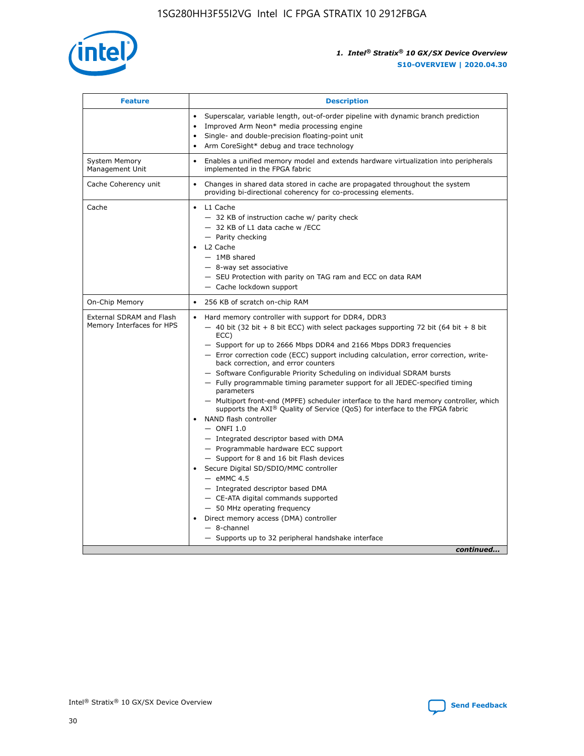

| <b>Feature</b>                                        | <b>Description</b>                                                                                                                                                                                                                                                                                                                                                                                                                                                                                                                                                                                                                                                                                                                                                                                                                                                                                                                                                                                                                                                                                                                                                                                                     |
|-------------------------------------------------------|------------------------------------------------------------------------------------------------------------------------------------------------------------------------------------------------------------------------------------------------------------------------------------------------------------------------------------------------------------------------------------------------------------------------------------------------------------------------------------------------------------------------------------------------------------------------------------------------------------------------------------------------------------------------------------------------------------------------------------------------------------------------------------------------------------------------------------------------------------------------------------------------------------------------------------------------------------------------------------------------------------------------------------------------------------------------------------------------------------------------------------------------------------------------------------------------------------------------|
|                                                       | Superscalar, variable length, out-of-order pipeline with dynamic branch prediction<br>Improved Arm Neon* media processing engine<br>$\bullet$<br>Single- and double-precision floating-point unit<br>Arm CoreSight* debug and trace technology<br>$\bullet$                                                                                                                                                                                                                                                                                                                                                                                                                                                                                                                                                                                                                                                                                                                                                                                                                                                                                                                                                            |
| <b>System Memory</b><br>Management Unit               | Enables a unified memory model and extends hardware virtualization into peripherals<br>$\bullet$<br>implemented in the FPGA fabric                                                                                                                                                                                                                                                                                                                                                                                                                                                                                                                                                                                                                                                                                                                                                                                                                                                                                                                                                                                                                                                                                     |
| Cache Coherency unit                                  | $\bullet$<br>Changes in shared data stored in cache are propagated throughout the system<br>providing bi-directional coherency for co-processing elements.                                                                                                                                                                                                                                                                                                                                                                                                                                                                                                                                                                                                                                                                                                                                                                                                                                                                                                                                                                                                                                                             |
| Cache                                                 | L1 Cache<br>$\bullet$<br>- 32 KB of instruction cache w/ parity check<br>- 32 KB of L1 data cache w /ECC<br>- Parity checking<br>L2 Cache<br>$-$ 1MB shared<br>- 8-way set associative<br>- SEU Protection with parity on TAG ram and ECC on data RAM<br>- Cache lockdown support                                                                                                                                                                                                                                                                                                                                                                                                                                                                                                                                                                                                                                                                                                                                                                                                                                                                                                                                      |
| On-Chip Memory                                        | 256 KB of scratch on-chip RAM<br>$\bullet$                                                                                                                                                                                                                                                                                                                                                                                                                                                                                                                                                                                                                                                                                                                                                                                                                                                                                                                                                                                                                                                                                                                                                                             |
| External SDRAM and Flash<br>Memory Interfaces for HPS | Hard memory controller with support for DDR4, DDR3<br>$\bullet$<br>$-$ 40 bit (32 bit + 8 bit ECC) with select packages supporting 72 bit (64 bit + 8 bit<br>ECC)<br>- Support for up to 2666 Mbps DDR4 and 2166 Mbps DDR3 frequencies<br>- Error correction code (ECC) support including calculation, error correction, write-<br>back correction, and error counters<br>- Software Configurable Priority Scheduling on individual SDRAM bursts<br>- Fully programmable timing parameter support for all JEDEC-specified timing<br>parameters<br>- Multiport front-end (MPFE) scheduler interface to the hard memory controller, which<br>supports the $AXI^{\circledR}$ Quality of Service (QoS) for interface to the FPGA fabric<br>NAND flash controller<br>$-$ ONFI 1.0<br>- Integrated descriptor based with DMA<br>- Programmable hardware ECC support<br>- Support for 8 and 16 bit Flash devices<br>Secure Digital SD/SDIO/MMC controller<br>$-$ eMMC 4.5<br>- Integrated descriptor based DMA<br>- CE-ATA digital commands supported<br>- 50 MHz operating frequency<br>Direct memory access (DMA) controller<br>$\bullet$<br>- 8-channel<br>- Supports up to 32 peripheral handshake interface<br>continued |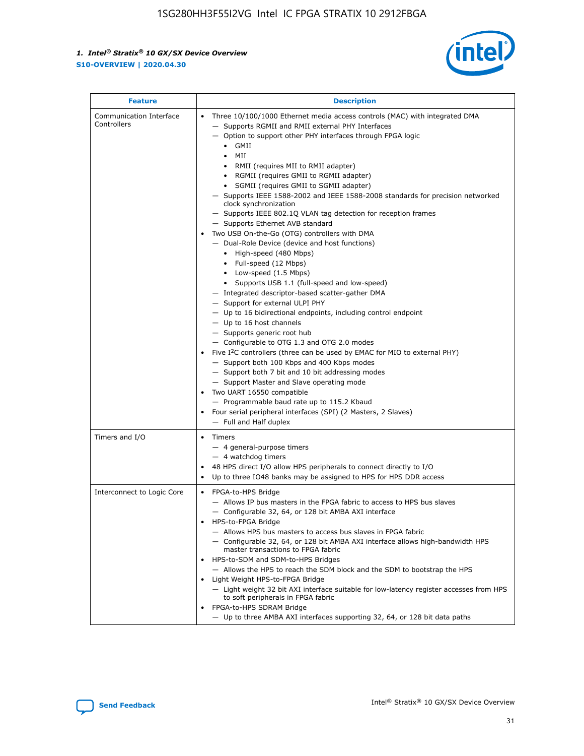

| <b>Feature</b>                         | <b>Description</b>                                                                                                                                                                                                                                                                                                                                                                                                                                                                                                                                                                                                                                                                                                                                                                                                                                                                                                                                                                                                                                                                                                                                                                                                                                                                                                                                                                                                                                                                                                     |
|----------------------------------------|------------------------------------------------------------------------------------------------------------------------------------------------------------------------------------------------------------------------------------------------------------------------------------------------------------------------------------------------------------------------------------------------------------------------------------------------------------------------------------------------------------------------------------------------------------------------------------------------------------------------------------------------------------------------------------------------------------------------------------------------------------------------------------------------------------------------------------------------------------------------------------------------------------------------------------------------------------------------------------------------------------------------------------------------------------------------------------------------------------------------------------------------------------------------------------------------------------------------------------------------------------------------------------------------------------------------------------------------------------------------------------------------------------------------------------------------------------------------------------------------------------------------|
| Communication Interface<br>Controllers | Three 10/100/1000 Ethernet media access controls (MAC) with integrated DMA<br>$\bullet$<br>- Supports RGMII and RMII external PHY Interfaces<br>- Option to support other PHY interfaces through FPGA logic<br>$\bullet$ GMII<br>MII<br>$\bullet$<br>RMII (requires MII to RMII adapter)<br>$\bullet$<br>• RGMII (requires GMII to RGMII adapter)<br>SGMII (requires GMII to SGMII adapter)<br>- Supports IEEE 1588-2002 and IEEE 1588-2008 standards for precision networked<br>clock synchronization<br>- Supports IEEE 802.1Q VLAN tag detection for reception frames<br>- Supports Ethernet AVB standard<br>Two USB On-the-Go (OTG) controllers with DMA<br>- Dual-Role Device (device and host functions)<br>• High-speed (480 Mbps)<br>• Full-speed (12 Mbps)<br>• Low-speed (1.5 Mbps)<br>• Supports USB 1.1 (full-speed and low-speed)<br>- Integrated descriptor-based scatter-gather DMA<br>- Support for external ULPI PHY<br>- Up to 16 bidirectional endpoints, including control endpoint<br>$-$ Up to 16 host channels<br>- Supports generic root hub<br>- Configurable to OTG 1.3 and OTG 2.0 modes<br>Five $I2C$ controllers (three can be used by EMAC for MIO to external PHY)<br>- Support both 100 Kbps and 400 Kbps modes<br>- Support both 7 bit and 10 bit addressing modes<br>- Support Master and Slave operating mode<br>Two UART 16550 compatible<br>- Programmable baud rate up to 115.2 Kbaud<br>Four serial peripheral interfaces (SPI) (2 Masters, 2 Slaves)<br>- Full and Half duplex |
| Timers and I/O                         | Timers<br>$\bullet$<br>- 4 general-purpose timers<br>$-4$ watchdog timers<br>48 HPS direct I/O allow HPS peripherals to connect directly to I/O<br>Up to three IO48 banks may be assigned to HPS for HPS DDR access                                                                                                                                                                                                                                                                                                                                                                                                                                                                                                                                                                                                                                                                                                                                                                                                                                                                                                                                                                                                                                                                                                                                                                                                                                                                                                    |
| Interconnect to Logic Core             | • FPGA-to-HPS Bridge<br>- Allows IP bus masters in the FPGA fabric to access to HPS bus slaves<br>- Configurable 32, 64, or 128 bit AMBA AXI interface<br>HPS-to-FPGA Bridge<br>- Allows HPS bus masters to access bus slaves in FPGA fabric<br>- Configurable 32, 64, or 128 bit AMBA AXI interface allows high-bandwidth HPS<br>master transactions to FPGA fabric<br>HPS-to-SDM and SDM-to-HPS Bridges<br>- Allows the HPS to reach the SDM block and the SDM to bootstrap the HPS<br>Light Weight HPS-to-FPGA Bridge<br>- Light weight 32 bit AXI interface suitable for low-latency register accesses from HPS<br>to soft peripherals in FPGA fabric<br>FPGA-to-HPS SDRAM Bridge<br>- Up to three AMBA AXI interfaces supporting 32, 64, or 128 bit data paths                                                                                                                                                                                                                                                                                                                                                                                                                                                                                                                                                                                                                                                                                                                                                    |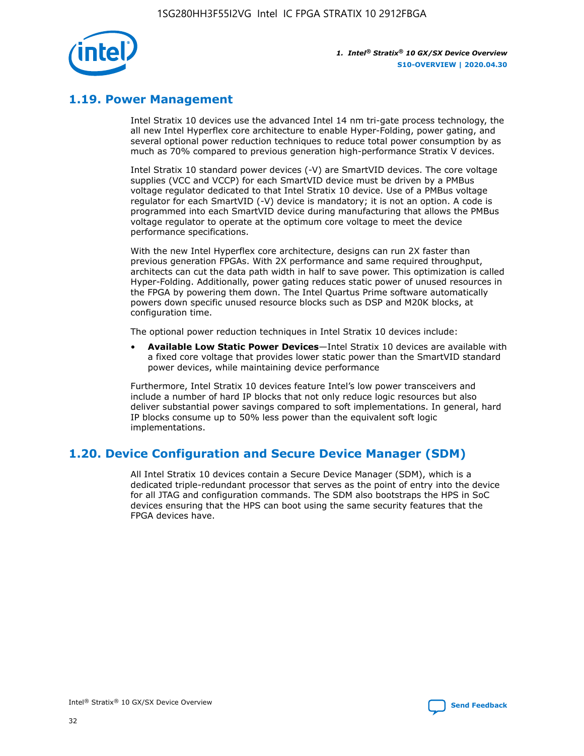

# **1.19. Power Management**

Intel Stratix 10 devices use the advanced Intel 14 nm tri-gate process technology, the all new Intel Hyperflex core architecture to enable Hyper-Folding, power gating, and several optional power reduction techniques to reduce total power consumption by as much as 70% compared to previous generation high-performance Stratix V devices.

Intel Stratix 10 standard power devices (-V) are SmartVID devices. The core voltage supplies (VCC and VCCP) for each SmartVID device must be driven by a PMBus voltage regulator dedicated to that Intel Stratix 10 device. Use of a PMBus voltage regulator for each SmartVID (-V) device is mandatory; it is not an option. A code is programmed into each SmartVID device during manufacturing that allows the PMBus voltage regulator to operate at the optimum core voltage to meet the device performance specifications.

With the new Intel Hyperflex core architecture, designs can run 2X faster than previous generation FPGAs. With 2X performance and same required throughput, architects can cut the data path width in half to save power. This optimization is called Hyper-Folding. Additionally, power gating reduces static power of unused resources in the FPGA by powering them down. The Intel Quartus Prime software automatically powers down specific unused resource blocks such as DSP and M20K blocks, at configuration time.

The optional power reduction techniques in Intel Stratix 10 devices include:

• **Available Low Static Power Devices**—Intel Stratix 10 devices are available with a fixed core voltage that provides lower static power than the SmartVID standard power devices, while maintaining device performance

Furthermore, Intel Stratix 10 devices feature Intel's low power transceivers and include a number of hard IP blocks that not only reduce logic resources but also deliver substantial power savings compared to soft implementations. In general, hard IP blocks consume up to 50% less power than the equivalent soft logic implementations.

# **1.20. Device Configuration and Secure Device Manager (SDM)**

All Intel Stratix 10 devices contain a Secure Device Manager (SDM), which is a dedicated triple-redundant processor that serves as the point of entry into the device for all JTAG and configuration commands. The SDM also bootstraps the HPS in SoC devices ensuring that the HPS can boot using the same security features that the FPGA devices have.

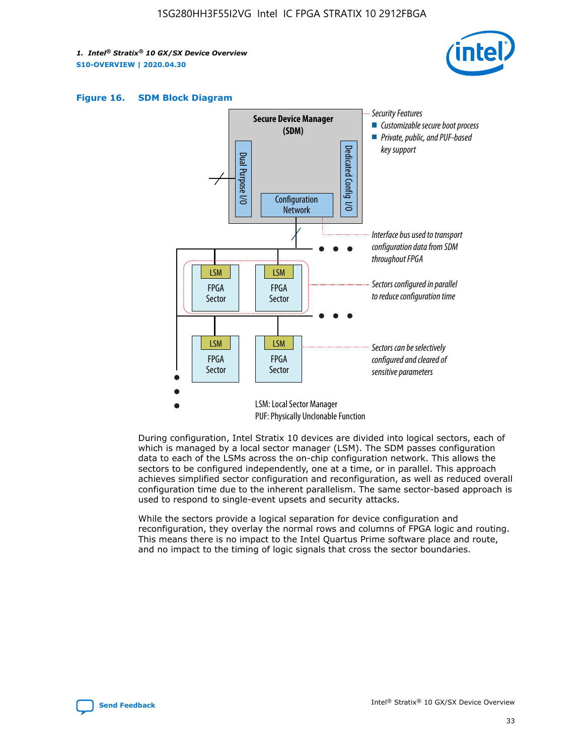





During configuration, Intel Stratix 10 devices are divided into logical sectors, each of which is managed by a local sector manager (LSM). The SDM passes configuration data to each of the LSMs across the on-chip configuration network. This allows the sectors to be configured independently, one at a time, or in parallel. This approach achieves simplified sector configuration and reconfiguration, as well as reduced overall configuration time due to the inherent parallelism. The same sector-based approach is used to respond to single-event upsets and security attacks.

While the sectors provide a logical separation for device configuration and reconfiguration, they overlay the normal rows and columns of FPGA logic and routing. This means there is no impact to the Intel Quartus Prime software place and route, and no impact to the timing of logic signals that cross the sector boundaries.

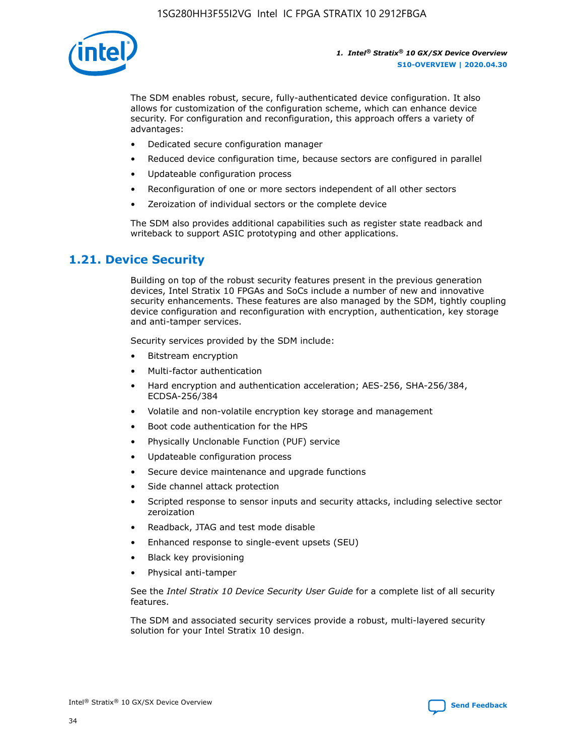

The SDM enables robust, secure, fully-authenticated device configuration. It also allows for customization of the configuration scheme, which can enhance device security. For configuration and reconfiguration, this approach offers a variety of advantages:

- Dedicated secure configuration manager
- Reduced device configuration time, because sectors are configured in parallel
- Updateable configuration process
- Reconfiguration of one or more sectors independent of all other sectors
- Zeroization of individual sectors or the complete device

The SDM also provides additional capabilities such as register state readback and writeback to support ASIC prototyping and other applications.

### **1.21. Device Security**

Building on top of the robust security features present in the previous generation devices, Intel Stratix 10 FPGAs and SoCs include a number of new and innovative security enhancements. These features are also managed by the SDM, tightly coupling device configuration and reconfiguration with encryption, authentication, key storage and anti-tamper services.

Security services provided by the SDM include:

- Bitstream encryption
- Multi-factor authentication
- Hard encryption and authentication acceleration; AES-256, SHA-256/384, ECDSA-256/384
- Volatile and non-volatile encryption key storage and management
- Boot code authentication for the HPS
- Physically Unclonable Function (PUF) service
- Updateable configuration process
- Secure device maintenance and upgrade functions
- Side channel attack protection
- Scripted response to sensor inputs and security attacks, including selective sector zeroization
- Readback, JTAG and test mode disable
- Enhanced response to single-event upsets (SEU)
- Black key provisioning
- Physical anti-tamper

See the *Intel Stratix 10 Device Security User Guide* for a complete list of all security features.

The SDM and associated security services provide a robust, multi-layered security solution for your Intel Stratix 10 design.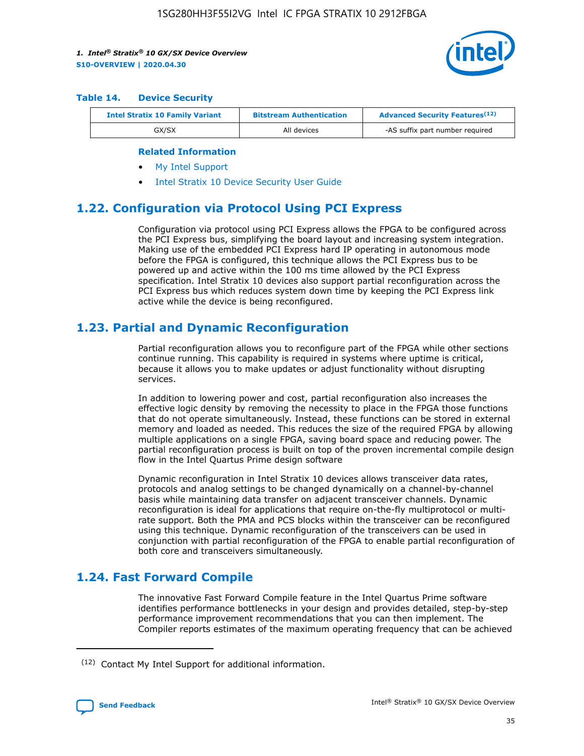

#### **Table 14. Device Security**

| <b>Intel Stratix 10 Family Variant</b> | <b>Bitstream Authentication</b> | <b>Advanced Security Features</b> <sup>(12)</sup> |
|----------------------------------------|---------------------------------|---------------------------------------------------|
| GX/SX                                  | All devices                     | -AS suffix part number required                   |

#### **Related Information**

- [My Intel Support](https://www.intel.com/content/www/us/en/programmable/my-intel/mal-home.html)
- [Intel Stratix 10 Device Security User Guide](https://www.intel.com/content/www/us/en/programmable/documentation/ndq1483601370898.html#wcd1483611014402)

### **1.22. Configuration via Protocol Using PCI Express**

Configuration via protocol using PCI Express allows the FPGA to be configured across the PCI Express bus, simplifying the board layout and increasing system integration. Making use of the embedded PCI Express hard IP operating in autonomous mode before the FPGA is configured, this technique allows the PCI Express bus to be powered up and active within the 100 ms time allowed by the PCI Express specification. Intel Stratix 10 devices also support partial reconfiguration across the PCI Express bus which reduces system down time by keeping the PCI Express link active while the device is being reconfigured.

### **1.23. Partial and Dynamic Reconfiguration**

Partial reconfiguration allows you to reconfigure part of the FPGA while other sections continue running. This capability is required in systems where uptime is critical, because it allows you to make updates or adjust functionality without disrupting services.

In addition to lowering power and cost, partial reconfiguration also increases the effective logic density by removing the necessity to place in the FPGA those functions that do not operate simultaneously. Instead, these functions can be stored in external memory and loaded as needed. This reduces the size of the required FPGA by allowing multiple applications on a single FPGA, saving board space and reducing power. The partial reconfiguration process is built on top of the proven incremental compile design flow in the Intel Quartus Prime design software

Dynamic reconfiguration in Intel Stratix 10 devices allows transceiver data rates, protocols and analog settings to be changed dynamically on a channel-by-channel basis while maintaining data transfer on adjacent transceiver channels. Dynamic reconfiguration is ideal for applications that require on-the-fly multiprotocol or multirate support. Both the PMA and PCS blocks within the transceiver can be reconfigured using this technique. Dynamic reconfiguration of the transceivers can be used in conjunction with partial reconfiguration of the FPGA to enable partial reconfiguration of both core and transceivers simultaneously.

# **1.24. Fast Forward Compile**

The innovative Fast Forward Compile feature in the Intel Quartus Prime software identifies performance bottlenecks in your design and provides detailed, step-by-step performance improvement recommendations that you can then implement. The Compiler reports estimates of the maximum operating frequency that can be achieved

<sup>(12)</sup> Contact My Intel Support for additional information.

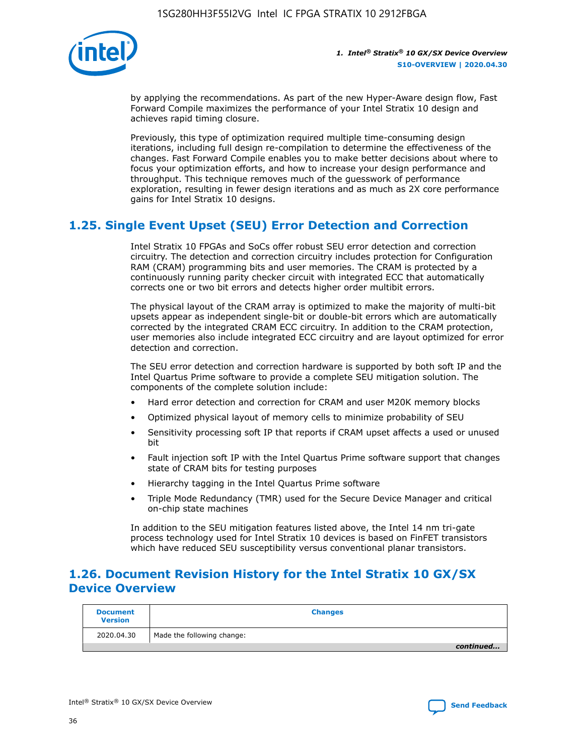

by applying the recommendations. As part of the new Hyper-Aware design flow, Fast Forward Compile maximizes the performance of your Intel Stratix 10 design and achieves rapid timing closure.

Previously, this type of optimization required multiple time-consuming design iterations, including full design re-compilation to determine the effectiveness of the changes. Fast Forward Compile enables you to make better decisions about where to focus your optimization efforts, and how to increase your design performance and throughput. This technique removes much of the guesswork of performance exploration, resulting in fewer design iterations and as much as 2X core performance gains for Intel Stratix 10 designs.

# **1.25. Single Event Upset (SEU) Error Detection and Correction**

Intel Stratix 10 FPGAs and SoCs offer robust SEU error detection and correction circuitry. The detection and correction circuitry includes protection for Configuration RAM (CRAM) programming bits and user memories. The CRAM is protected by a continuously running parity checker circuit with integrated ECC that automatically corrects one or two bit errors and detects higher order multibit errors.

The physical layout of the CRAM array is optimized to make the majority of multi-bit upsets appear as independent single-bit or double-bit errors which are automatically corrected by the integrated CRAM ECC circuitry. In addition to the CRAM protection, user memories also include integrated ECC circuitry and are layout optimized for error detection and correction.

The SEU error detection and correction hardware is supported by both soft IP and the Intel Quartus Prime software to provide a complete SEU mitigation solution. The components of the complete solution include:

- Hard error detection and correction for CRAM and user M20K memory blocks
- Optimized physical layout of memory cells to minimize probability of SEU
- Sensitivity processing soft IP that reports if CRAM upset affects a used or unused bit
- Fault injection soft IP with the Intel Quartus Prime software support that changes state of CRAM bits for testing purposes
- Hierarchy tagging in the Intel Quartus Prime software
- Triple Mode Redundancy (TMR) used for the Secure Device Manager and critical on-chip state machines

In addition to the SEU mitigation features listed above, the Intel 14 nm tri-gate process technology used for Intel Stratix 10 devices is based on FinFET transistors which have reduced SEU susceptibility versus conventional planar transistors.

# **1.26. Document Revision History for the Intel Stratix 10 GX/SX Device Overview**

| <b>Document</b><br><b>Version</b> | <b>Changes</b>             |
|-----------------------------------|----------------------------|
| 2020.04.30                        | Made the following change: |
|                                   | continued                  |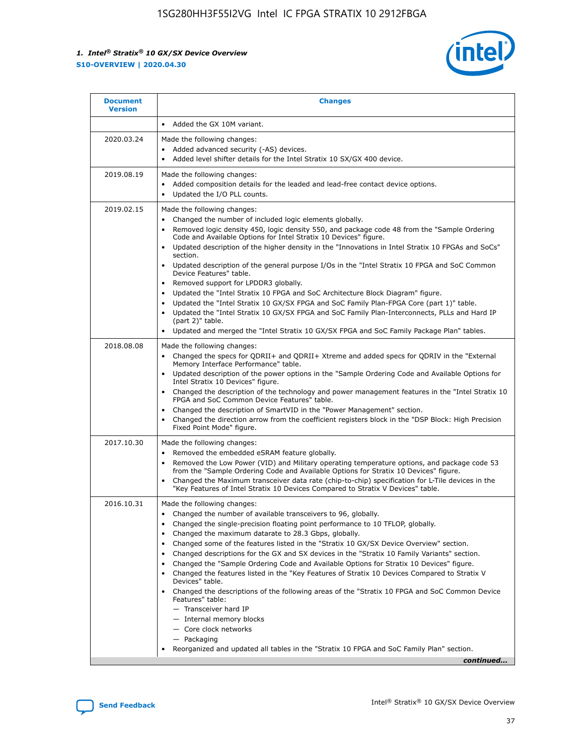

| • Added the GX 10M variant.<br>Made the following changes:<br>Added advanced security (-AS) devices.<br>$\bullet$<br>Added level shifter details for the Intel Stratix 10 SX/GX 400 device.<br>$\bullet$<br>Made the following changes:<br>Added composition details for the leaded and lead-free contact device options.                                                                                                                                                                                                                                                                                                                                                                                                                                                                                                                                                                                                                                                                                                     |
|-------------------------------------------------------------------------------------------------------------------------------------------------------------------------------------------------------------------------------------------------------------------------------------------------------------------------------------------------------------------------------------------------------------------------------------------------------------------------------------------------------------------------------------------------------------------------------------------------------------------------------------------------------------------------------------------------------------------------------------------------------------------------------------------------------------------------------------------------------------------------------------------------------------------------------------------------------------------------------------------------------------------------------|
|                                                                                                                                                                                                                                                                                                                                                                                                                                                                                                                                                                                                                                                                                                                                                                                                                                                                                                                                                                                                                               |
|                                                                                                                                                                                                                                                                                                                                                                                                                                                                                                                                                                                                                                                                                                                                                                                                                                                                                                                                                                                                                               |
| Updated the I/O PLL counts.<br>$\bullet$                                                                                                                                                                                                                                                                                                                                                                                                                                                                                                                                                                                                                                                                                                                                                                                                                                                                                                                                                                                      |
| Made the following changes:<br>Changed the number of included logic elements globally.<br>$\bullet$<br>Removed logic density 450, logic density 550, and package code 48 from the "Sample Ordering<br>$\bullet$<br>Code and Available Options for Intel Stratix 10 Devices" figure.<br>Updated description of the higher density in the "Innovations in Intel Stratix 10 FPGAs and SoCs"<br>section.<br>Updated description of the general purpose I/Os in the "Intel Stratix 10 FPGA and SoC Common<br>$\bullet$<br>Device Features" table.<br>Removed support for LPDDR3 globally.<br>٠<br>Updated the "Intel Stratix 10 FPGA and SoC Architecture Block Diagram" figure.<br>Updated the "Intel Stratix 10 GX/SX FPGA and SoC Family Plan-FPGA Core (part 1)" table.<br>$\bullet$<br>Updated the "Intel Stratix 10 GX/SX FPGA and SoC Family Plan-Interconnects, PLLs and Hard IP<br>$\bullet$<br>(part 2)" table.<br>Updated and merged the "Intel Stratix 10 GX/SX FPGA and SoC Family Package Plan" tables.<br>$\bullet$ |
| Made the following changes:<br>Changed the specs for ODRII+ and ODRII+ Xtreme and added specs for ODRIV in the "External<br>$\bullet$<br>Memory Interface Performance" table.<br>Updated description of the power options in the "Sample Ordering Code and Available Options for<br>Intel Stratix 10 Devices" figure.<br>Changed the description of the technology and power management features in the "Intel Stratix 10<br>FPGA and SoC Common Device Features" table.<br>Changed the description of SmartVID in the "Power Management" section.<br>Changed the direction arrow from the coefficient registers block in the "DSP Block: High Precision<br>Fixed Point Mode" figure.                                                                                                                                                                                                                                                                                                                                         |
| Made the following changes:<br>Removed the embedded eSRAM feature globally.<br>$\bullet$<br>Removed the Low Power (VID) and Military operating temperature options, and package code 53<br>$\bullet$<br>from the "Sample Ordering Code and Available Options for Stratix 10 Devices" figure.<br>Changed the Maximum transceiver data rate (chip-to-chip) specification for L-Tile devices in the<br>٠<br>"Key Features of Intel Stratix 10 Devices Compared to Stratix V Devices" table.                                                                                                                                                                                                                                                                                                                                                                                                                                                                                                                                      |
| Made the following changes:<br>• Changed the number of available transceivers to 96, globally.<br>Changed the single-precision floating point performance to 10 TFLOP, globally.<br>Changed the maximum datarate to 28.3 Gbps, globally.<br>Changed some of the features listed in the "Stratix 10 GX/SX Device Overview" section.<br>٠<br>Changed descriptions for the GX and SX devices in the "Stratix 10 Family Variants" section.<br>٠<br>Changed the "Sample Ordering Code and Available Options for Stratix 10 Devices" figure.<br>٠<br>Changed the features listed in the "Key Features of Stratix 10 Devices Compared to Stratix V<br>٠<br>Devices" table.<br>Changed the descriptions of the following areas of the "Stratix 10 FPGA and SoC Common Device<br>Features" table:<br>- Transceiver hard IP<br>- Internal memory blocks<br>- Core clock networks<br>- Packaging<br>Reorganized and updated all tables in the "Stratix 10 FPGA and SoC Family Plan" section.<br>continued                                |
|                                                                                                                                                                                                                                                                                                                                                                                                                                                                                                                                                                                                                                                                                                                                                                                                                                                                                                                                                                                                                               |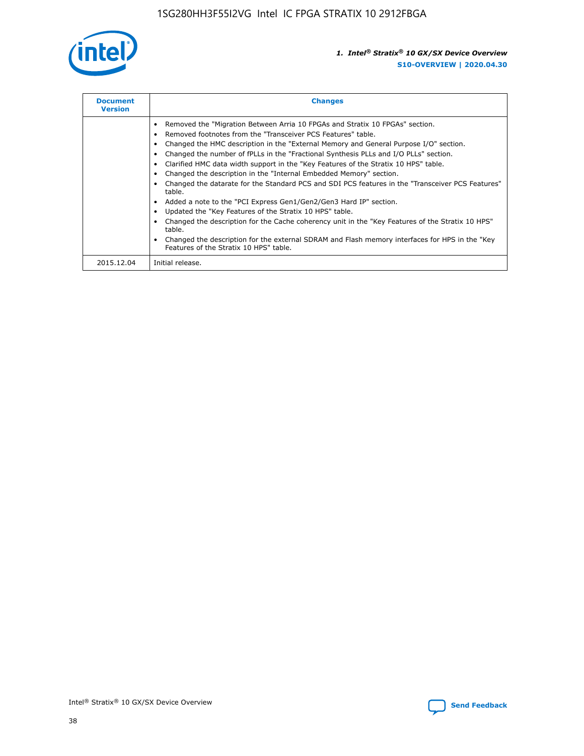

| <b>Document</b><br><b>Version</b> | <b>Changes</b>                                                                                                                                                                                                                                                                                                                                                                                                                                                                                                                                                                                                                                                                                                                                                                                                                                                                                                                                                                                     |
|-----------------------------------|----------------------------------------------------------------------------------------------------------------------------------------------------------------------------------------------------------------------------------------------------------------------------------------------------------------------------------------------------------------------------------------------------------------------------------------------------------------------------------------------------------------------------------------------------------------------------------------------------------------------------------------------------------------------------------------------------------------------------------------------------------------------------------------------------------------------------------------------------------------------------------------------------------------------------------------------------------------------------------------------------|
|                                   | Removed the "Migration Between Arria 10 FPGAs and Stratix 10 FPGAs" section.<br>Removed footnotes from the "Transceiver PCS Features" table.<br>Changed the HMC description in the "External Memory and General Purpose I/O" section.<br>Changed the number of fPLLs in the "Fractional Synthesis PLLs and I/O PLLs" section.<br>Clarified HMC data width support in the "Key Features of the Stratix 10 HPS" table.<br>Changed the description in the "Internal Embedded Memory" section.<br>Changed the datarate for the Standard PCS and SDI PCS features in the "Transceiver PCS Features"<br>table.<br>Added a note to the "PCI Express Gen1/Gen2/Gen3 Hard IP" section.<br>Updated the "Key Features of the Stratix 10 HPS" table.<br>Changed the description for the Cache coherency unit in the "Key Features of the Stratix 10 HPS"<br>table.<br>Changed the description for the external SDRAM and Flash memory interfaces for HPS in the "Key<br>Features of the Stratix 10 HPS" table. |
| 2015.12.04                        | Initial release.                                                                                                                                                                                                                                                                                                                                                                                                                                                                                                                                                                                                                                                                                                                                                                                                                                                                                                                                                                                   |